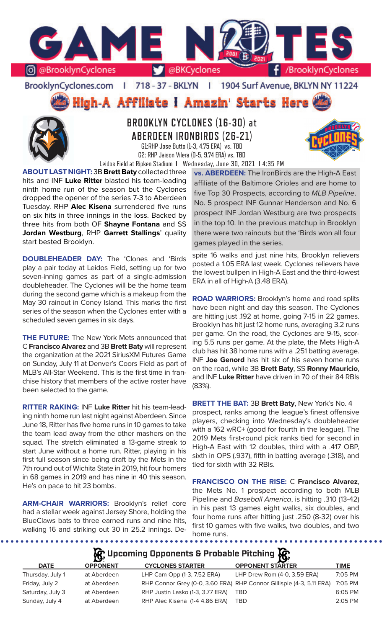

BrooklynCyclones.com | 718 - 37 - BKLYN | 1904 Surf Avenue, BKLYN NY 11224

**High-A Affiliate I Amazin' Starts Here** 



# **BROOKLYN CYCLONES (16-30) at ABERDEEN IRONBIRDS (26-21)** G1:RHP Jose Butto (1-3, 4.75 ERA) vs. TBD



G2: RHP Jaison Vilera (0-5, 9.74 ERA) vs. TBD Leidos Field at Ripken Stadium **I** Wednesday, June 30, 2021 **I** 4:35 PM

**ABOUT LAST NIGHT:** 3B **Brett Baty** collected three hits and INF **Luke Ritter** blasted his team-leading ninth home run of the season but the Cyclones dropped the opener of the series 7-3 to Aberdeen Tuesday. RHP **Alec Kisena** surrendered five runs on six hits in three innings in the loss. Backed by three hits from both OF **Shayne Fontana** and SS **Jordan Westburg**, RHP **Garrett Stallings**' quality start bested Brooklyn.

**DOUBLEHEADER DAY:** The 'Clones and 'Birds play a pair today at Leidos Field, setting up for two seven-inning games as part of a single-admission doubleheader. The Cyclones will be the home team during the second game which is a makeup from the May 30 rainout in Coney Island. This marks the first series of the season when the Cyclones enter with a scheduled seven games in six days.

**THE FUTURE:** The New York Mets announced that C **Francisco Alvarez** and 3B **Brett Baty** will represent the organization at the 2021 SiriusXM Futures Game on Sunday, July 11 at Denver's Coors Field as part of MLB's All-Star Weekend. This is the first time in franchise history that members of the active roster have been selected to the game.

**RITTER RAKING:** INF **Luke Ritter** hit his team-leading ninth home run last night against Aberdeen. Since June 18, Ritter has five home runs in 10 games to take the team lead away from the other mashers on the squad. The stretch eliminated a 13-game streak to start June without a home run. Ritter, playing in his first full season since being draft by the Mets in the 7th round out of Wichita State in 2019, hit four homers in 68 games in 2019 and has nine in 40 this season. He's on pace to hit 23 bombs.

**ARM-CHAIR WARRIORS:** Brooklyn's relief core had a stellar week against Jersey Shore, holding the BlueClaws bats to three earned runs and nine hits, walking 16 and striking out 30 in 25.2 innings. De-

**vs. ABERDEEN:** The IronBirds are the High-A East affiliate of the Baltimore Orioles and are home to five Top 30 Prospects, according to *MLB Pipeline*. No. 5 prospect INF Gunnar Henderson and No. 6 prospect INF Jordan Westburg are two prospects in the top 10. In the previous matchup in Brooklyn there were two rainouts but the 'Birds won all four games played in the series.

spite 16 walks and just nine hits, Brooklyn relievers posted a 1.05 ERA last week. Cyclones relievers have the lowest bullpen in High-A East and the third-lowest ERA in all of High-A (3.48 ERA).

**ROAD WARRIORS:** Brooklyn's home and road splits have been night and day this season. The Cyclones are hitting just .192 at home, going 7-15 in 22 games. Brooklyn has hit just 12 home runs, averaging 3.2 runs per game. On the road, the Cyclones are 9-15, scoring 5.5 runs per game. At the plate, the Mets High-A club has hit 38 home runs with a .251 batting average. INF **Joe Genord** has hit six of his seven home runs on the road, while 3B **Brett Baty**, SS **Ronny Mauricio**, and INF **Luke Ritter** have driven in 70 of their 84 RBIs (83%).

**BRETT THE BAT:** 3B **Brett Baty**, New York's No. 4 prospect, ranks among the league's finest offensive players, checking into Wednesday's doubleheader with a 162 wRC+ (good for fourth in the league). The 2019 Mets first-round pick ranks tied for second in High-A East with 12 doubles, third with a .417 OBP, sixth in OPS (.937), fifth in batting average (.318), and tied for sixth with 32 RBIs.

**FRANCISCO ON THE RISE:** C **Francisco Alvarez**, the Mets No. 1 prospect according to both MLB Pipeline and *Baseball America*, is hitting .310 (13-42) in his past 13 games eight walks, six doubles, and four home runs after hitting just .250 (8-32) over his first 10 games with five walks, two doubles, and two home runs.

# **Upcoming Opponents & Probable Pitching**

| <b>DATE</b>      | <b>OPPONENT</b> | <b>CYCLONES STARTER</b>          | <b>OPPONENT STARTER</b>                                              | <b>TIME</b> |
|------------------|-----------------|----------------------------------|----------------------------------------------------------------------|-------------|
| Thursday, July 1 | at Aberdeen     | LHP Cam Opp (1-3, 7.52 ERA)      | LHP Drew Rom (4-0, 3.59 ERA)                                         | 7:05 PM     |
| Friday, July 2   | at Aberdeen     |                                  | RHP Connor Grey (0-0, 3.60 ERA) RHP Connor Gillispie (4-3, 5.11 ERA) | 7:05 PM     |
| Saturday, July 3 | at Aberdeen     | RHP Justin Lasko (1-3, 3.77 ERA) | TBD                                                                  | 6:05 PM     |
| Sunday, July 4   | at Aberdeen     | RHP Alec Kisena (1-4 4.86 ERA)   | TBD                                                                  | $2:05$ PM   |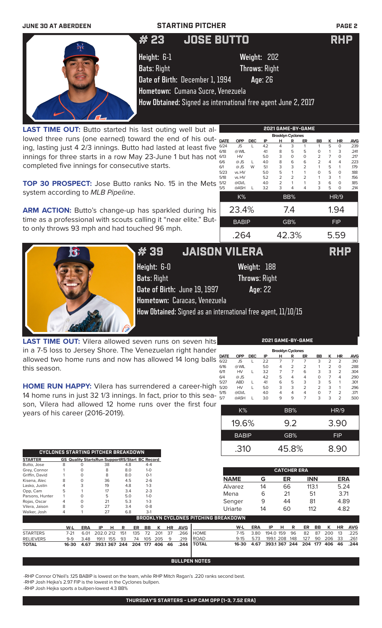

LAST TIME OUT: Butto started his last outing well but allowed three runs (one earned) toward the end of his outing, lasting just 4 2/3 innings. Butto had lasted at least five innings for three starts in a row May 23-June 1 but has not completed five innings for consecutive starts.

| <b>Brooklyn Cyclones</b> |              |            |     |                |                |                |                |   |             |            |  |
|--------------------------|--------------|------------|-----|----------------|----------------|----------------|----------------|---|-------------|------------|--|
| <b>DATE</b>              | <b>OPP</b>   | <b>DEC</b> | IP  | н              | R              | ER             | <b>BB</b>      | ĸ | HR          | <b>AVG</b> |  |
| 6/24                     | <b>JS</b>    |            | 4.2 | 4              | 3              | 1              | 1              | 5 | $\Omega$    | .239       |  |
| 6/18                     | @ WIL        |            | 41  | 8              | 5              | 5              | $\Omega$       | 1 | 3           | .241       |  |
| 6/13                     | HV           |            | 5.0 | 3              | 0              | O              | $\overline{2}$ | 7 | $\Omega$    | .217       |  |
| 6/6                      | $@$ JS       | L          | 4.0 | 8              | 6              | 6              | $\overline{2}$ | 4 | 4           | .223       |  |
| 6/1                      | @JS          | W          | 5.1 | 3              | 3              | $\overline{2}$ | 1              | 5 |             | .179       |  |
| 5/23                     | vs. HV       |            | 5.0 | 5              | 1              | 1              | $\mathbf 0$    | 5 | 0           | .188       |  |
| 5/18                     | vs. HV       |            | 5.2 | $\overline{2}$ | $\overline{2}$ | $\overline{2}$ | 1              | 3 |             | .156       |  |
| 5/12                     | @GVL         |            | 4.0 | $\overline{2}$ | 1              | 1              | 3              | 6 | $\Omega$    | .185       |  |
| 5/5                      | @ASH         | L          | 3.2 | 3              | 4              | 4              | 3              | 5 | O           | .214       |  |
|                          | K%           |            |     |                | BB%            |                |                |   | <b>HR/9</b> |            |  |
|                          | 23.4%        |            |     |                | 7.4            |                |                |   | 1.94        |            |  |
|                          | <b>BABIP</b> |            |     |                | GB%            |                | <b>FIP</b>     |   |             |            |  |
|                          | .264         |            |     |                | 42.3%          |                | 5.59           |   |             |            |  |

**TOP 30 PROSPECT:** Jose Butto ranks No. 15 in the Mets system according to *MLB Pipeline*.

ARM ACTION: Butto's change-up has sparkled during his time as a professional with scouts calling it "near elite." Butto only throws 93 mph and had touched 96 mph.



**Height:** 6-0 **Weight:** 188 **Bats**: Right **Throws**: Right **Date of Birth:** June 19, 1997 **Age**: 22 **Hometown:** Caracas, Venezuela # 39 JAISON VILERA RHP

**How Obtained:** Signed as an international free agent, 11/10/15

**LAST TIME OUT:** Vilera allowed seven runs on seven hits in a 7-5 loss to Jersey Shore. The Venezuelan right hander allowed two home runs and now has allowed 14 long balls this season.

**HOME RUN HAPPY:** Vilera has surrendered a career-high 14 home runs in just 32 1/3 innings. In fact, prior to this season, Vilera had allowed 12 home runs over the first four years of his career (2016-2019).

| <b>Brooklyn Cyclones</b> |            |            |     |   |                |                |    |                |    |      |  |
|--------------------------|------------|------------|-----|---|----------------|----------------|----|----------------|----|------|--|
| <b>DATE</b>              | <b>OPP</b> | <b>DEC</b> | ΙP  | н | R              | ER             | BB | ĸ              | ΗR | AVG  |  |
| 6/22                     | <b>JS</b>  |            | 2.2 | 7 | 7              | 7              | 3  | $\overline{2}$ | 2  | .310 |  |
| 6/16                     | @ WIL      |            | 5.0 | 4 | $\overline{2}$ | $\overline{2}$ |    | $\overline{2}$ | 0  | .288 |  |
| 6/11                     | HV         |            | 3.2 | 7 | 7              | 6              | 3  | 3              | 2  | .304 |  |
| 6/4                      | $@$ JS     |            | 4.2 | 5 | 4              | 4              | 0  | 7              | 4  | .290 |  |
| 5/27                     | <b>ABD</b> |            | 4.1 | 6 | 5              | 3              | 3  | 5              | 1  | .301 |  |
| 5/20                     | HV         |            | 5.0 | 3 | 3              | $\overline{2}$ | 2  | 3              | 1  | .296 |  |
| 5/15                     | @GVL       |            | 4.0 | 4 | 4              | 4              | 0  |                | 2  | .371 |  |
| 5/7                      | @ASH       |            | 3.0 | 9 | 9              |                | 3  | 3              | 2  | .500 |  |

K% BB% HR/9

|              | <b>CATCHER ERA</b> |            |
|--------------|--------------------|------------|
| .310         | 45.8%              | 8.90       |
| <b>BABIP</b> | GB%                | <b>FIP</b> |
| 19.6%        | 9.2                | 3.90       |

|                  |          |            |           |     |     |     |           |     |           |            |              |                                             |            |       | ----------- |     |     |            |     |            |            |
|------------------|----------|------------|-----------|-----|-----|-----|-----------|-----|-----------|------------|--------------|---------------------------------------------|------------|-------|-------------|-----|-----|------------|-----|------------|------------|
| Griffin, David   |          |            | 8         |     | 8.0 |     | $O-1$     |     |           |            |              |                                             |            |       |             |     |     |            |     | <b>ERA</b> |            |
| Kisena, Alec     | 8        |            | 36        |     | 4.5 |     | $2 - 6$   |     |           |            |              | <b>NAME</b>                                 |            | G     | ER          |     |     | <b>INN</b> |     |            |            |
| Lasko, Justin    | 4        |            | 19        |     | 4.8 |     | $1 - 3$   |     |           |            |              | Alvarez                                     |            | 14    | 66          |     |     | 113.1      |     | 5.24       |            |
| Opp, Cam         |          |            | 17        |     | 3.4 |     | $2 - 3$   |     |           |            |              |                                             |            |       |             |     |     |            |     |            |            |
| Parsons, Hunter  |          | O          |           | 5   | 5.0 |     | $1 - 0$   |     |           |            |              | Mena                                        |            | 6     | 21          |     |     | 51         |     | 3.71       |            |
| Rojas, Oscar     | 4        |            | 21        |     | 5.3 |     | $1 - 3$   |     |           |            |              | Senger                                      |            | 9     | 44          |     | 81  |            |     | 4.89       |            |
| Vilera, Jaison   | 8        | $\Omega$   | 27        |     | 3.4 |     | $0 - 8$   |     |           |            |              | Uriarte                                     |            | 14    | 60          |     |     | 112        |     | 4.82       |            |
| Walker, Josh     | 4        |            | 27        |     | 6.8 |     | $3-1$     |     |           |            |              |                                             |            |       |             |     |     |            |     |            |            |
|                  |          |            |           |     |     |     |           |     |           |            |              | <b>BROOKLYN CYCLONES PITCHING BREAKDOWN</b> |            |       |             |     |     |            |     |            |            |
|                  | W-L      | <b>ERA</b> | IP        | н   | R   | ER  | <b>BB</b> | к   | <b>HR</b> | <b>AVG</b> |              | W-L                                         | <b>ERA</b> | IP    | н           | R   | ER  | <b>BB</b>  | к   | <b>HR</b>  | <b>AVG</b> |
| <b>STARTERS</b>  | $7 - 21$ | 6.01       | 202.0 212 |     | 151 | 135 | 72        | 201 | 37        | .266       | <b>HOME</b>  | 7-15                                        | 3.80       |       | 194.0 159   | 96  | 82  | 87         | 200 | 13         | .225       |
| <b>RELIEVERS</b> | $9 - 9$  | 3.48       | 191.1     | 155 | 93  | 74  | 105       | 205 | q         | .219       | <b>ROAD</b>  | $9 - 15$                                    | 5.73       | 199.1 | 208         | 148 | 127 | 90         | 206 | 33         | .261       |
| <b>TOTAL</b>     | 16-30    | 4.67       | 393.1 367 |     | 244 | 204 | 177       | 406 | 46        | 244        | <b>TOTAL</b> | 16-30                                       | 4.67       |       | 393.1 367   | 244 | 204 | 177        | 406 | 46         | .244       |

**BULLPEN NOTES**

-RHP Connor O'Neil's .125 BABIP is lowest on the team, while RHP Mitch Ragan's .220 ranks second best.

-RHP Josh Hejka's 2.97 FIP is the lowest in the Cyclones bullpen.

**CYCLONES STARTING PITCHER BREAKDOWN** .310 45.8% 8.90 **STARTER GS Quality StartsRun SupportRS/Start BC Record** Butto, Jose 8 0 38 4.8 4-4 Grey, Connor 1 0 8 8.0 1-0<br>Griffin, David 1 0 8 8.0 0-1

-RHP Josh Hejka sports a bullpen-lowest 4.3 BB%

**2021 GAME-BY-GAME**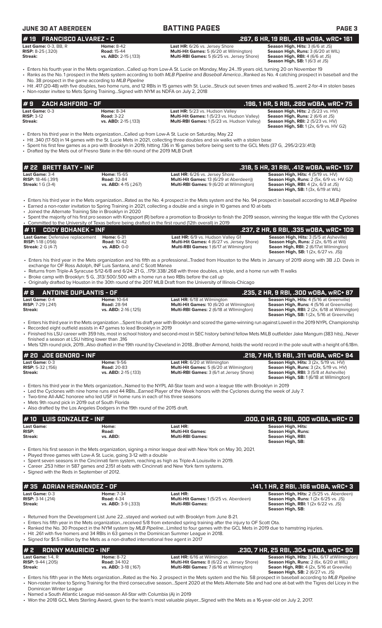| <b>JUNE 30 AT ABERDEEN</b>                                                                              |                                                                                                                                                                                         | <b>BATTING PAGES</b>                                                                                                                                                                                                                                                                                                                                                                                                    | PAGE <sub>3</sub>                                                                                                                                                                      |
|---------------------------------------------------------------------------------------------------------|-----------------------------------------------------------------------------------------------------------------------------------------------------------------------------------------|-------------------------------------------------------------------------------------------------------------------------------------------------------------------------------------------------------------------------------------------------------------------------------------------------------------------------------------------------------------------------------------------------------------------------|----------------------------------------------------------------------------------------------------------------------------------------------------------------------------------------|
| <b>FRANCISCO ALVAREZ - C</b><br>#19<br>Last Game: 0-3, BB, R<br><b>RISP:</b> $8-25$ $(.320)$<br>Streak: | <b>Home: 8-42</b><br><b>Road: 15-44</b><br>vs. ABD: 2-15 (.133)                                                                                                                         | Last HR: 6/26 vs. Jersey Shore<br>Multi-Hit Games: 5 (6/20 at Wilmington)<br>Multi-RBI Games: 5 (6/25 vs. Jersey Shore)                                                                                                                                                                                                                                                                                                 | .267, 6 HR, 19 RBI, .418 wOBA, wRC+ 161<br>Season High, Hits: 3 (6/6 at JS)<br>Season High, Runs: 3 (6/20 at WIL)<br>Season High, RBI: 4 (6/6 at JS)<br>Season High, SB: 1 (6/3 at JS) |
| No. 38 prospect in the game according to MLB Pipeline                                                   |                                                                                                                                                                                         | • Enters his fourth year in the Mets organizationCalled up from Low-A St. Lucie on Monday, May 2419 years old, turning 20 on November 19<br>· Ranks as the No. 1 prospect in the Mets system according to both MLB Pipeline and Baseball AmericaRanked as No. 4 catching prospect in baseball and the                                                                                                                   |                                                                                                                                                                                        |
| • Non-roster invitee to Mets Spring TrainingSigned with NYM as NDFA on July 2, 2018                     |                                                                                                                                                                                         | · Hit .417 (20-48) with five doubles, two home runs, and 12 RBIs in 15 games with St. LucieStruck out seven times and walked 15went 2-for-4 in stolen bases                                                                                                                                                                                                                                                             |                                                                                                                                                                                        |
| ZACH ASHFORD - OF<br>#9                                                                                 |                                                                                                                                                                                         |                                                                                                                                                                                                                                                                                                                                                                                                                         | .196, 1 HR, 5 RBI, .280 w0BA, wRC+ 75                                                                                                                                                  |
| Last Game: 0-3<br><b>RISP: 3-12</b><br>Streak:                                                          | <b>Home: 8-34</b><br><b>Road: 3-22</b><br>vs. ABD: 2-15 (.133)                                                                                                                          | Last HR: 5/23 vs. Hudson Valley<br>Multi-Hit Games: 1 (5/23 vs. Hudson Valley)<br>Multi-RBI Games: 1(5/23 vs. Hudson Valley)                                                                                                                                                                                                                                                                                            | Season High, Hits: 2 (5/23 vs. HV)<br>Season High, Runs: 2 (6/6 at JS)<br><b>Season High, RBI: 2 (5/23 vs. HV)</b><br><b>Season High, SB:</b> 1 (2x, 6/9 vs. HV G2)                    |
| • Drafted by the Mets out of Fresno State in the 6th round of the 2019 MLB Draft                        |                                                                                                                                                                                         | Enters his third year in the Mets organizationCalled up from Low-A St. Lucie on Saturday, May 22<br>• Hit .340 (17-50) in 14 games with the St. Lucie Mets in 2021, collecting three doubles and six walks with a stolen base<br>• Spent his first few games as a pro with Brooklyn in 2019, hitting 136 in 16 games before being sent to the GCL Mets (37 G, .295/2/23/.413)                                           |                                                                                                                                                                                        |
| # 22 BRETT BATY - INF                                                                                   |                                                                                                                                                                                         |                                                                                                                                                                                                                                                                                                                                                                                                                         | .318, 5 HR, 31 RBI, .412 wOBA, wRC+ 157<br>Season High. Hits: 4 (5/19 vs. HV)                                                                                                          |
| Last Game: 3-4<br><b>RISP: 18-46 (.391)</b><br><b>Streak:</b> 1 G (3-4)                                 | Home: 15-65<br><b>Road: 32-84</b><br>vs. ABD: 4-15 (.267)                                                                                                                               | Last HR: 6/26 vs. Jersey Shore<br>Multi-Hit Games: 13 (6/29 at Aberdeen))<br>Multi-RBI Games: 9 (6/20 at Wilmington)                                                                                                                                                                                                                                                                                                    | Season High, Runs: 2 (5x, 6/9 vs. HV G2)<br><b>Season High, RBI:</b> $4$ (2x, $6/3$ at JS)<br><b>Season High, SB:</b> 1 (3x, 6/19 at WIL)                                              |
| • Joined the Alternate Training Site in Brooklyn in 2020                                                |                                                                                                                                                                                         | • Enters his third year in the Mets organizationRated as the No. 4 prospect in the Mets system and the No. 94 prospect in baseball according to MLB Pipeline<br>• Earned a non-roster invitation to Spring Training in 2021, collecting a double and a single in 10 games and 10 at-bats                                                                                                                                |                                                                                                                                                                                        |
|                                                                                                         |                                                                                                                                                                                         | • Spent the majority of his first pro season with Kingsport (R) before a promotion to Brooklyn to finish the 2019 season, winning the league title with the Cyclones<br>• Committed to the University of Texas before being drafted in the first round (12th overall) in 2019                                                                                                                                           |                                                                                                                                                                                        |
| #11<br><b>CODY BOHANEK - INF</b><br>Last Game: Defensive replacement                                    | <b>Home: 6-31</b>                                                                                                                                                                       | Last HR: 6/9 vs. Hudson Valley G1                                                                                                                                                                                                                                                                                                                                                                                       | .237, 2 HR, 6 RBI, .335 wOBA, wRC+ 109<br>Season High, Hits: 3 (5/5 at Asheville)                                                                                                      |
| <b>RISP:</b> 1-18 $(.056)$<br><b>Streak: 2 G (4-7)</b>                                                  | <b>Road: 10-42</b><br>vs. ABD: 0-0                                                                                                                                                      | Multi-Hit Games: 4 (6/27 vs. Jersey Shore)<br>Multi-RBI Games: 1 (6/17 at Wilmington)                                                                                                                                                                                                                                                                                                                                   | Season High, Runs: 2 (2x, 6/15 at Wil)<br>Seaon High, RBI: 2 (6/17at Wilmington)<br><b>Season High, SB:</b> 1(2x, 6/27 vs. JS))                                                        |
|                                                                                                         | exchange for OF Ross Adolph, INF Luis Santana, and C Scott Manea<br>• Broke camp with Brooklyn: 5 G, .313/.500/.500 with a home run a two RBIs before the call up                       | • Enters his third year in the Mets organization and his fifth as a professionalTraded from Houston to the Mets in January of 2019 along with 3B J.D. Davis in<br>• Returns from Triple-A Syracuse 5/12-6/8 and 6/24: 21 G, 179/.338/.268 with three doubles, a triple, and a home run with 11 walks<br>• Originally drafted by Houston in the 30th round of the 2017 MLB Draft from the University of Illinois-Chicago |                                                                                                                                                                                        |
| <b>ANTOINE DUPLANTIS - OF</b><br>#8                                                                     |                                                                                                                                                                                         |                                                                                                                                                                                                                                                                                                                                                                                                                         | .235, 2 HR, 9 RBI, .300 WOBA, WRC+ 87                                                                                                                                                  |
| Last Game: 0-4<br><b>RISP:</b> 7-29 (.241)<br>Streak:                                                   | <b>Home: 10-64</b><br><b>Road: 28-94</b><br>vs. ABD: 2-16 (.125)                                                                                                                        | Last HR: 6/18 at Wilmington<br>Multi-Hit Games: 10 (6/20 at Wilmington)<br>Multi-RBI Games: 2 (6/18 at Wilmington)                                                                                                                                                                                                                                                                                                      | Season High, Hits: 4 (5/16 at Greenville)<br>Season High, Runs: 4 (5/16 at Greenville)<br>Season High, RBI: 2 (2x, 6/18 at Wilmington)<br>Season High, SB: 1 (2x, 5/16 at Greenville)  |
| finished a season at LSU hitting lower than .316                                                        | • Recorded eight outfield assists in 47 games to lead Brooklyn in 2019                                                                                                                  | · Enters his third year in the Mets organization Spent his draft year with Brooklyn and scored the game-winning run against Lowell in the 2019 NYPL Championship<br>• Finished his LSU career with 359 hits, most in school history and second-most in SEC history behind fellow Mets MiLB outfielder Jake Mangum (383 hits)Never                                                                                       |                                                                                                                                                                                        |
| # 20 JOE GENORD - INF                                                                                   |                                                                                                                                                                                         | • Mets 12th round pick, 2019Also drafted in the 19th round by Cleveland in 2018Brother Armond, holds the world record in the pole vault with a height of 6.18m.                                                                                                                                                                                                                                                         | .218, 7 HR, 15 RBI, .311 wOBA, wRC+ 94                                                                                                                                                 |
| Last Game: 0-3<br><b>RISP: 5-32 (.156)</b><br>Streak:                                                   | Home: 9-56<br><b>Road: 20-83</b><br>vs. ABD: 2-15 (.133)                                                                                                                                | Last HR: 6/20 at Wilmington<br>Multi-Hit Games: 5 (6/20 at Wilmington)<br>Multi-RBI Games: 3 (6/1 at Jersey Shore)                                                                                                                                                                                                                                                                                                      | Season High, Hits: 3 (2x, 5/19 vs. HV)<br>Season High, Runs: 3 (2x, 5/19 vs. HV)<br>Season High, RBI: 3 (5/8 at Asheville)<br>Season High, SB: 1 (6/18 at Wilmington)                  |
| • Mets 9th round pick in 2019 out of South Florida                                                      | • Two-time All-AAC honoree who led USF in home runs in each of his three seasons<br>• Also drafted by the Los Angeles Dodgers in the 19th round of the 2015 draft.                      | • Enters his third year in the Mets organizationNamed to the NYPL All-Star team and won a league title with Brooklyn in 2019<br>• Led the Cyclones with nine home runs and 44 RBIsEarned Player of the Week honors with the Cyclones during the week of July 7.                                                                                                                                                         |                                                                                                                                                                                        |
| <b>LUIS GONZALEZ - INF</b><br>#10                                                                       |                                                                                                                                                                                         |                                                                                                                                                                                                                                                                                                                                                                                                                         | .000, 0 HR, 0 RBI, .000 WOBA, WRC+ 0                                                                                                                                                   |
| <b>Last Game:</b><br><b>RISP:</b><br>Streak:                                                            | Home:<br>Road:<br>vs. ABD:                                                                                                                                                              | Last HR:<br><b>Multi-Hit Games:</b><br><b>Multi-RBI Games:</b>                                                                                                                                                                                                                                                                                                                                                          | <b>Season High, Hits:</b><br>Season High, Runs:<br><b>Season High, RBI:</b><br>Season High, SB:                                                                                        |
| • Signed with the Reds in September of 2012.                                                            | • Played three games with Low-A St. Lucie, going 3-12 with a double<br>• Career .253 hitter in 587 games and 2,151 at-bats with Cincinnati and New York farm systems.                   | • Enters his first season in the Mets organization, signing a minor league deal with New York on May 30, 2021.<br>• Spent seven seasons in the Cincinnati farm system, reaching as high as Triple-A Louisville in 2019.                                                                                                                                                                                                 |                                                                                                                                                                                        |
| #35 ADRIAN HERNANDEZ - OF                                                                               |                                                                                                                                                                                         |                                                                                                                                                                                                                                                                                                                                                                                                                         | .141, 1 HR, 2 RBI, .166 WOBA, WRC+ 3                                                                                                                                                   |
| Last Game: 0-3<br><b>RISP:</b> $3-14$ (.214)<br>Streak:                                                 | <b>Home: 7-34</b><br><b>Road: 4-34</b><br>vs. ABD: 3-9 (.333)                                                                                                                           | Last HR:<br>Multi-Hit Games: 1 (5/25 vs. Aberdeen)<br><b>Multi-RBI Games:</b>                                                                                                                                                                                                                                                                                                                                           | Season High, Hits: 2 (5/25 vs. Aberdeen)<br>Season High, Runs: 1 (2x 6/25 vs. JS)<br><b>Season High, RBI:</b> 1 (2x 6/22 vs. JS)<br>Season High, SB:                                   |
|                                                                                                         | • Hit .261 with five homers and 34 RBIs in 63 games in the Dominican Summer League in 2018.<br>• Signed for \$1.5 million by the Mets as a non-drafted international free agent in 2017 | • Returned from the Development List June 22stayed and worked out with Brooklyn from June 8-21.<br>• Enters his fifth year in the Mets organizationreceived 5/8 from extended spring training after the injury to OF Scott Ota.<br>• Ranked the No. 30 Prospect in the NYM system by MLB PipelineLimited to four games with the GCL Mets in 2019 due to hamstring injuries.                                             |                                                                                                                                                                                        |
|                                                                                                         | <b>RONNY MAURICIO - INF</b>                                                                                                                                                             |                                                                                                                                                                                                                                                                                                                                                                                                                         | .230, 7 HR, 25 RBI, .304 w0BA, wRC+ 90                                                                                                                                                 |

**Last Game:** 1-4, R **Home:** 8-72 **Last HR:** 6/16 at Wilmington **Season High, Hits:** 3 (4x, 6/17 atWilmington) **RISP:** 9-44 (.205) **Road:** 34-102 **Multi-Hit Games:** 8 (6/22 vs. Jersey Shore) **Season High, Runs:** 2 (6x, 6/20 at WIL) **Streak: vs. ABD:** 3-18 (.167) **Multi-RBI Games:** 7 (6/16 at Wilmington) **Seaon High, RBI:** 4 (2x, 5/16 at Greeville) **Season High, SB:** 2 (6/27 vs. JS)

• Enters his fifth year in the Mets organization...Rated as the No. 2 prospect in the Mets system and the No. 58 prospect in baseball according to *MLB Pipeline* • Non-roster invitee to Spring Training for the third consecutive season...Spent 2020 at the Mets Alternate Site and had one at-bat with the Tigres del Licey in the Dominican Winter League

• Named a South Atlantic League mid-season All-Star with Columbia (A) in 2019

• Won the 2018 GCL Mets Sterling Award, given to the team's most valuable player...Signed with the Mets as a 16-year-old on July 2, 2017.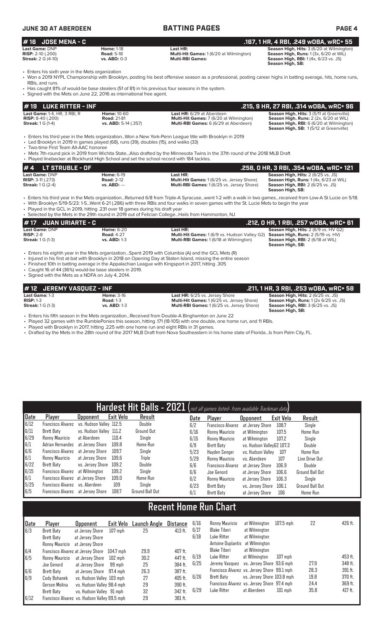| <b>JUNE 30 AT ABERDEEN</b>                                                                                                                                                                                                                                                                                            |                                                                  | <b>BATTING PAGES</b>                                                                                                                                                                                                                                                                                | PAGE 4                                                                                                                                                                    |
|-----------------------------------------------------------------------------------------------------------------------------------------------------------------------------------------------------------------------------------------------------------------------------------------------------------------------|------------------------------------------------------------------|-----------------------------------------------------------------------------------------------------------------------------------------------------------------------------------------------------------------------------------------------------------------------------------------------------|---------------------------------------------------------------------------------------------------------------------------------------------------------------------------|
| <b>JOSE MENA - C</b><br>#16                                                                                                                                                                                                                                                                                           |                                                                  |                                                                                                                                                                                                                                                                                                     | .167, 1 HR, 4 RBI, .249 wOBA, wRC+ 55                                                                                                                                     |
| Last Game: DNP<br>RISP: 2-10 (.200)<br><b>Streak: 2 G (4-10)</b>                                                                                                                                                                                                                                                      | <b>Home: 1-18</b><br><b>Road: 5-18</b><br>vs. ABD: 0-3           | Last HR:<br>Multi-Hit Games: 1 (6/20 at Wilmington)<br><b>Multi-RBI Games:</b>                                                                                                                                                                                                                      | Season High, Hits: 3 (6/20 at Wilmington)<br>Season High, Runs: 1 (3x, 6/20 at WIL)<br>Season High, RBI: 1 (4x, 6/23 vs. JS)<br>Season High, SB:                          |
| • Enters his sixth year in the Mets organization<br>RBIs, and runs<br>• Has caught 81% of would-be base stealers (51 of 81) in his previous four seasons in the system.<br>• Signed with the Mets on June 22, 2016 as international free agent.                                                                       |                                                                  | • Won a 2019 NYPL Championship with Brooklyn, posting his best offensive season as a professional, posting career highs in batting average, hits, home runs,                                                                                                                                        |                                                                                                                                                                           |
| #19 LUKE RITTER - INF                                                                                                                                                                                                                                                                                                 |                                                                  |                                                                                                                                                                                                                                                                                                     | .215, 9 HR, 27 RBI, .314 wOBA, wRC+ 96                                                                                                                                    |
| Last Game: 1-4, HR, 3 RBI, R<br><b>RISP: 8-40 (.200)</b><br><b>Streak:</b> 1 G (1-4)                                                                                                                                                                                                                                  | <b>Home: 10-60</b><br><b>Road: 21-81</b><br>vs. ABD: 5-14 (.357) | Last HR: 6/29 at Aberdeen<br>Multi-Hit Games: 7 (6/20 at Wilmington)<br>Multi-RBI Games: 6 (6/29 at Aberdeen)                                                                                                                                                                                       | Season High, Hits: 3 (5/11 at Greenville)<br>Season High, Runs: 2 (2x, 6/20 at WIL)<br>Season High, RBI: 6 (6/20 at Wilmington)<br>Season High, SB: 1(5/12 at Greenville) |
| • Led Brooklyn in 2019 in games played (68), runs (39), doubles (15), and walks (33)<br>• Two-time First Team All-AAC honoree<br>• Played linebacker at Rockhurst High School and set the school record with 184 tackles.                                                                                             |                                                                  | Enters his third year in the Mets organizationWon a New York-Penn League title with Brooklyn in 2019<br>• Mets 7th-round pick in 2019 from Wichita StateAlso drafted by the Minnesota Twins in the 37th round of the 2018 MLB Draft                                                                 |                                                                                                                                                                           |
| #4<br><b>LT STRUBLE - OF</b>                                                                                                                                                                                                                                                                                          |                                                                  |                                                                                                                                                                                                                                                                                                     | .258, 0 HR, 3 RBI, .354 wOBA, wRC+ 121                                                                                                                                    |
| Last Game: DNP<br>RISP: 3-11 (.273)<br><b>Streak:</b> 1 G (2-4)                                                                                                                                                                                                                                                       | <b>Home: 6-19</b><br><b>Road: 2-12</b><br>vs. ABD: ---           | Last HR:<br>Multi-Hit Games: 1 (6/25 vs. Jersey Shore)<br>Multi-RBI Games: 1 (6/25 vs. Jersey Shore)                                                                                                                                                                                                | Season High, Hits: 2 (6/25 vs. JS)<br>Season High, Runs: 1 (4x, 6/23 at WIL)<br><b>Season High, RBI:</b> 2 (6/25 vs. JS)<br>Season High, SB:                              |
| • Played in the GCL in 2019, hitting .231 over 18 games during his draft year<br>• Selected by the Mets in the 29th round in 2019 out of Felician CollegeHails from Hammonton, NJ                                                                                                                                     |                                                                  | • Enters his third year in the Mets organizationReturned 6/8 from Triple-A Syracusewent 1-2 with a walk in two gamesreceived from Low-A St Lucie on 5/18.<br>• With Brooklyn 5/19-5/23: 1-5Went 6-21 (.286) with three RBIs and four walks in seven games with the St. Lucie Mets to begin the year |                                                                                                                                                                           |
| #17<br><b>JUAN URIARTE - C</b>                                                                                                                                                                                                                                                                                        |                                                                  |                                                                                                                                                                                                                                                                                                     | .212, 0 HR, 1 RBI, .257 w0BA, wRC+ 61                                                                                                                                     |
| Last Game: DNP<br><b>RISP: 2-8</b><br><b>Streak:</b> 1 G (1-3)                                                                                                                                                                                                                                                        | <b>Home: 6-20</b><br><b>Road: 4-27</b><br>vs. ABD: 1-3           | Last HR:<br>Multi-Hit Games: 1 (6/9 vs. Hudson Valley G2)<br>Multi-RBI Games: 1 (6/18 at Wilmington)                                                                                                                                                                                                | Season High, Hits: 2 (6/9 vs. HV G2)<br>Season High, Runs: 2 (5/19 vs. HV)<br>Season High, RBI: 2 (6/18 at WIL)<br>Season High, SB:                                       |
| Enters his eighth year in the Mets organizationSpent 2019 with Columbia (A) and the GCL Mets (R)<br>. Finished 10th in batting average in the Appalachian League with Kingsport in 2017, hitting .305<br>• Caught 16 of 44 (36%) would-be base stealers in 2019.<br>• Signed with the Mets as a NDFA on July 4, 2014. |                                                                  | • Injured in his first at-bat with Brooklyn in 2018 on Opening Day at Staten Island, missing the entire season                                                                                                                                                                                      |                                                                                                                                                                           |
| #12 JEREMY VASQUEZ - INF                                                                                                                                                                                                                                                                                              |                                                                  |                                                                                                                                                                                                                                                                                                     | .211, 1 HR, 3 RBI, .253 wOBA, wRC+ 58                                                                                                                                     |
| Last Game: 1-3<br>$RISP: 1-3$<br><b>Streak: 1 G (1-3)</b>                                                                                                                                                                                                                                                             | <b>Home: 3-16</b><br><b>Road: 1-3</b><br>vs. ABD: 1-3            | Last HR: 6/25 vs. Jersey Shore<br>Multi-Hit Games: 1 (6/25 vs. Jersey Shore)<br>Multi-RBI Games: 1 (6/25 vs. Jersey Shore)                                                                                                                                                                          | Season High, Hits: 2 (6/25 vs. JS)<br>Season High, Runs: 1 (2x 6/25 vs. JS)<br>Season High, RBI: 3 (6/25 vs. JS)<br>Season High, SB:                                      |
| • Enters his fifth season in the Mets organizationReceived from Double-A Binghamton on June 22                                                                                                                                                                                                                        |                                                                  | $\cdots$                                                                                                                                                                                                                                                                                            |                                                                                                                                                                           |

• Played 32 games with the RumblePonies this season, hitting .171 (18-105) with one double, one home run, and 11 RBIs.

• Played with Brooklyn in 2017, hitting .225 with one home run and eight RBIs in 31 games.

• Drafted by the Mets in the 28th round of the 2017 MLB Draft from Nova Southeastern in his home state of Florida...Is from Palm City, FL.

| • Drafted by the Mets in the 28th round of the 2017 MLB Draft from Nova Southeastern in his home state of Florida…Is from Palm City, I |  |  |  |
|----------------------------------------------------------------------------------------------------------------------------------------|--|--|--|
|                                                                                                                                        |  |  |  |

| Hardest Hit Balls - 2021 (not all games listed- from available Trackman data) |                                   |                         |                  |                   |  |      |                          |                           |           |                        |  |
|-------------------------------------------------------------------------------|-----------------------------------|-------------------------|------------------|-------------------|--|------|--------------------------|---------------------------|-----------|------------------------|--|
| Date                                                                          | Player                            | <b>Upponent</b>         | <b>Exit Velo</b> | Result            |  | Date | Player                   | <b>Opponent</b>           | Exit Velo | Result                 |  |
| 6/12                                                                          | <b>Francisco Alvarez</b>          | vs. Hudson Valley 112.5 |                  | Double            |  | 6/2  | <b>Francisco Alvarez</b> | at Jersey Shore           | 108.7     | Single                 |  |
| 6/11                                                                          | Brett Baty                        | vs. Hudson Valley 111.2 |                  | <b>Ground Out</b> |  | 6/16 | Ronny Mauricio           | at Wilmington             | 107.5     | Home Run               |  |
| 6/29                                                                          | Ronny Mauricio                    | at Aberdeen             | 110.4            | Single            |  | 6/15 | Ronny Mauricio           | at Wilmington             | 107.2     | Single                 |  |
| 6/1                                                                           | Adrian Hernandez                  | at Jersev Shore         | 109.8            | Home Run          |  | 6/9  | Brett Baty               | vs. Hudson VallevG2 107.3 |           | Double                 |  |
| 6/6                                                                           | Francisco Alvarez                 | at Jersev Shore         | 109.7            | Single            |  | 5/23 | Havden Senger            | vs. Hudson Vallev         | 107       | <b>Home Run</b>        |  |
| 6/1                                                                           | Ronny Mauricio                    | at Jersey Shore         | 109.6            | Triple            |  | 5/29 | Ronny Mauricio           | vs. Aberdeen              | 107       | Line Drive Out         |  |
| 6/22                                                                          | Brett Baty                        | vs. Jersey Shore        | 109.2            | Double            |  | 6/6  | <b>Francisco Alvarez</b> | at Jersev Shore           | 106.9     | Double                 |  |
| 6/15                                                                          | Francisco Alvarez                 | at Wilmington           | 109.2            | Single            |  | 6/6  | Joe Genord               | at Jersey Shore           | 106.6     | <b>Ground Ball Out</b> |  |
| 6/1                                                                           | Francisco Alvarez at Jersey Shore |                         | 109.0            | <b>Home Run</b>   |  | 6/2  | Ronny Mauricio           | at Jersey Shore           | 106.3     | Sinale                 |  |
| 5/25                                                                          | Francisco Alvarez                 | vs. Aberdeen            | 109              | Single            |  | 6/23 | Brett Baty               | vs. Jersey Shore          | 106.1     | Ground Ball Out        |  |
| 6/5                                                                           | Francisco Alvarez at Jersey Shore |                         | 108.7            | Ground Ball Out   |  | 6/1  | <b>Brett Baty</b>        | at Jersey Shore           | 106       | <b>Home Run</b>        |  |

# **Recent Home Run Chart**

| Date<br>6/3 | Player<br><b>Brett Baty</b><br>Brett Baty | <b>Opponent</b><br>at Jersev Shore<br>at Jersey Shore | Exit Velo<br>$107$ mph | Launch Angle<br>25 | Distance<br>413 ft. | 6/16<br>6/17<br>6/18 | Ronny Mauricio<br>Blake Tiberi<br>Luke Ritter | at Wilmington<br>at Wilmington<br>at Wilmington | $107.5$ mph | 22   | 426 ft.   |
|-------------|-------------------------------------------|-------------------------------------------------------|------------------------|--------------------|---------------------|----------------------|-----------------------------------------------|-------------------------------------------------|-------------|------|-----------|
|             | Ronny Mauricio                            | at Jersev Shore                                       |                        |                    |                     |                      | Antoine Duplantis at Wilmington               |                                                 |             |      |           |
| 6/4         | Francisco Alvarez at Jersey Shore         |                                                       | 104.7 mph              | 29.9               | 407 ft.             |                      | Blake Tiberi                                  | at Wilmington                                   |             |      |           |
| 6/5         | Ronny Mauricio                            | at Jersey Shore                                       | 102 mph                | 30.2               | 447 ft.             | 6/19                 | Luke Ritter                                   | at Wilmington                                   | $107$ mph   |      | 453 ft.   |
|             | Joe Genord                                | at Jersev Shore                                       | 99 mph                 | 25                 | 384 ft.             | 6/25                 | Jeremy Vasquez vs. Jersey Shore 93.6 mph      |                                                 |             | 27.9 | 348 ft.   |
| 6/6         | Brett Baty                                | at Jersey Shore 97.4 mph                              |                        | 26.3               | 387 ft.             |                      | Francisco Alvarez vs. Jersey Shore 99.1 mph   |                                                 |             | 28.3 | $391$ ft. |
| 6/9         | Cody Bohanek                              | vs. Hudson Valley 103 mph                             |                        | 27                 | $405$ ft.           | 6/26                 | Brett Baty                                    | vs. Jersey Shore 103.8 mph                      |             | 19.8 | 370 ft.   |
|             | Gerson Molina                             | vs. Hudson Valley 98.4 mph                            |                        | 29                 | 390 ft.             |                      | Francisco Alvarez vs. Jersey Shore 97.4 mph   |                                                 |             | 24.4 | 369 ft.   |
|             | Brett Baty                                | vs. Hudson Valley 91 mph                              |                        | 32                 | 342 ft.             | 6/29                 | Luke Ritter                                   | at Aberdeen                                     | $101$ mph   | 35.8 | 417 ft.   |
| 6/12        |                                           | Francisco Alvarez vs. Hudson Valley 99.5 mph          |                        | 29                 | 381 ft.             |                      |                                               |                                                 |             |      |           |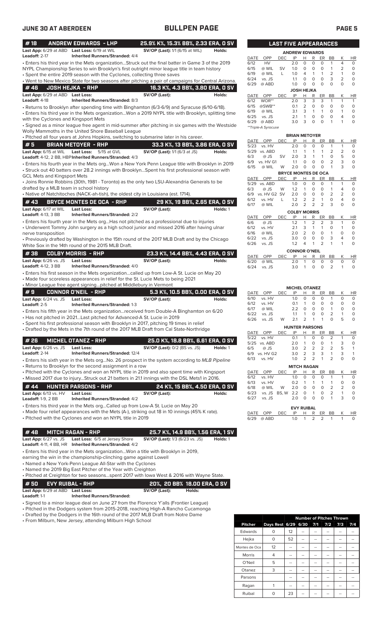| #18                                                | <b>ANDREW EDWARDS - LHP</b>                                                                                                                                                                                                                         |                                        | 25.9% K%, 15.3% BB%, 2.33 ERA, 0 SV       |
|----------------------------------------------------|-----------------------------------------------------------------------------------------------------------------------------------------------------------------------------------------------------------------------------------------------------|----------------------------------------|-------------------------------------------|
|                                                    | Last App: 6/29 at ABD Last Loss: 6/19 at WIL                                                                                                                                                                                                        | <b>SV/OP (Last):</b> 1/1 (6/15 at WIL) | Holds:                                    |
| Leadoff: $2-17$                                    | <b>Inherited Runners/Stranded: 4/4</b><br>. Enters his third year in the Mets organizationStruck out the final batter in Game 3 of the 2019                                                                                                         |                                        |                                           |
|                                                    | NYPL Championship Series to win Brooklyn's first outright minor league title in team history<br>• Spent the entire 2019 season with the Cyclones, collecting three saves                                                                            |                                        |                                           |
|                                                    | . Went to New Mexico State for two seasons after pitching a pair of campaigns for Central Arizona.                                                                                                                                                  |                                        |                                           |
| #46                                                | <b>JOSH HEJKA - RHP</b>                                                                                                                                                                                                                             |                                        | 16.3 K%, 4.3 BB%, 3.80 ERA, 0 SV          |
| Last App: 6/29 at ABD Last Loss:                   |                                                                                                                                                                                                                                                     | SV/OP (Last):                          | Holds:                                    |
| Leadoff: 4-18                                      | Inherited Runners/Stranded: 8/3<br>• Returns to Brooklyn after spending time with Binghamton (6/3-6/9) and Syracuse (6/10-6/18).                                                                                                                    |                                        |                                           |
|                                                    | . Enters his third year in the Mets organizationWon a 2019 NYPL title with Brooklyn, splitting time                                                                                                                                                 |                                        |                                           |
| with the Cyclones and Kingsport Mets               | • Signed as a minor league free agent in mid-summer after pitching in six games with the Westside                                                                                                                                                   |                                        |                                           |
|                                                    | Wolly Mammoths in the United Shore Baseball League                                                                                                                                                                                                  |                                        |                                           |
|                                                    | . Pitched all four years at Johns Hopkins, switching to submarine later in his career.                                                                                                                                                              |                                        |                                           |
| #5<br>Last App: 6/15 at WIL                        | <b>BRIAN METOYER - RHP</b><br><b>Last Loss:</b><br>5/15 at GVL                                                                                                                                                                                      | <b>SV/OP (Last):</b> 1/1 (6/3 at JS)   | 33.3 K%, 13 BB%, 3.86 ERA, 0 SV<br>Holds: |
|                                                    | Leadoff: 4-12, 2 BB, HBP Inherited Runners/Stranded: 4/3                                                                                                                                                                                            |                                        |                                           |
| <b>GCL Mets and Kingsport Mets</b>                 | . Enters his fourth year in the Mets orgWon a New York Penn League title with Brooklyn in 2019<br>• Struck out 40 batters over 28.2 innings with BrooklynSpent his first professional season with                                                   |                                        |                                           |
|                                                    | • Joins Ronnie Robbins (30th, 1981 - Toronto) as the only two LSU-Alexandria Generals to be                                                                                                                                                         |                                        |                                           |
| drafted by a MLB team in school history            |                                                                                                                                                                                                                                                     |                                        |                                           |
|                                                    | • Native of Natchitoches (NACK-ah-tish), the oldest city in Louisiana (est. 1714).                                                                                                                                                                  |                                        |                                           |
| #43<br>Last App: 6/17 at WIL                       | <b>BRYCE MONTES DE OCA - RHP</b><br>Last Loss:                                                                                                                                                                                                      | SV/OP (Last):                          | 29 K%, 19 BB%, 2.65 ERA, 0 SV<br>Holds: 1 |
| <b>Leadoff: 4-13, 3 BB</b>                         | <b>Inherited Runners/Stranded: 2/2</b>                                                                                                                                                                                                              |                                        |                                           |
|                                                    | • Enters his fourth year in the Mets orgHas not pitched as a professional due to injuries<br>• Underwent Tommy John surgery as a high school junior and missed 2016 after having ulnar                                                              |                                        |                                           |
| nerve transposition                                |                                                                                                                                                                                                                                                     |                                        |                                           |
|                                                    | • Previously drafted by Washington in the 15th round of the 2017 MLB Draft and by the Chicago<br>White Sox in the 14th round of the 2015 MLB Draft.                                                                                                 |                                        |                                           |
| #38                                                | <b>COLBY MORRIS - RHP</b>                                                                                                                                                                                                                           |                                        | 23.3 K%, 14.4 BB%, 4.43 ERA, 0 SV         |
| <b>Last App:</b> 6/26 vs. JS                       | Last Loss:                                                                                                                                                                                                                                          | SV/OP (Last):                          | Holds:                                    |
| <b>Leadoff: 4-12, 3 BB</b>                         | <b>Inherited Runners/Stranded: 4/0</b>                                                                                                                                                                                                              |                                        |                                           |
|                                                    | • Enters his first season in the Mets organizationcalled up from Low-A St. Lucie on May 20<br>• Made four scoreless appearances in relief for the St. Lucie Mets to being 2021<br>• Minor League free agent signingpitched at Middlebury in Vermont |                                        |                                           |
| #9                                                 | <b>CONNOR O'NEIL - RHP</b>                                                                                                                                                                                                                          |                                        | 5.3 K%, 10.5 BB%, 0.00 ERA, 0 SV          |
| Last App: 6/24 vs. JS<br>Leadoff: 2-5              | <b>Last Loss:</b><br><b>Inherited Runners/Stranded: 1-3</b>                                                                                                                                                                                         | SV/OP (Last):                          | Holds:                                    |
|                                                    | • Enters his fifth year in the Mets organizationreceived from Double-A Binghamton on 6/20                                                                                                                                                           |                                        |                                           |
|                                                    | • Has not pitched in 2021Last pitched for Advanced-A St. Lucie in 2019                                                                                                                                                                              |                                        |                                           |
|                                                    | • Spent his first professional season with Brooklyn in 2017, pitching 19 times in relief<br>• Drafted by the Mets in the 7th round of the 2017 MLB Draft from Cal State-Northridge                                                                  |                                        |                                           |
|                                                    |                                                                                                                                                                                                                                                     |                                        |                                           |
| #26<br>Last App: 6/26 vs. JS                       | <b>MICHEL OTANEZ - RHP</b><br>Last Loss:                                                                                                                                                                                                            |                                        | 25.0 K%, 18.8 BB%, 6.61 ERA, 0 SV         |
| Leadoff: 2-14                                      | <b>Inherited Runners/Stranded: 12/4</b>                                                                                                                                                                                                             | <b>SV/OP (Last):</b> 0/2 (BS vs. JS)   | Holds: 1                                  |
|                                                    | • Enters his sixth year in the Mets orgNo. 26 prospect in the system according to MLB Pipeline                                                                                                                                                      |                                        |                                           |
|                                                    | • Returns to Brooklyn for the second assignment in a row                                                                                                                                                                                            |                                        |                                           |
|                                                    | • Pitched with the Cyclones and won an NYPL title in 2019 and also spent time with Kingsport<br>. Missed 2017 due to injuryStruck out 21 batters in 21.1 innings with the DSL Mets1 in 2016.                                                        |                                        |                                           |
| #44                                                | <b>HUNTER PARSONS - RHP</b>                                                                                                                                                                                                                         |                                        | 24 K%, 15 BB%, 4.50 ERA, 0 SV             |
| Last App: 6/13 vs. HV<br><b>Leadoff:</b> 1-9, 2 BB | <b>Last Loss:</b><br><b>Inherited Runners/Stranded: 4/2</b>                                                                                                                                                                                         | SV/OP (Last):                          | Holds:                                    |
|                                                    | • Enters his third year in the Mets orgCalled up from Low-A St. Lucie on May 20                                                                                                                                                                     |                                        |                                           |
|                                                    | • Made four relief appearances with the Mets (A-), striking out 18 in 10 innings (45% K rate).<br>• Pitched with the Cyclones and won an NYPL title in 2019                                                                                         |                                        |                                           |
| #48                                                | <b>MITCH RAGAN - RHP</b>                                                                                                                                                                                                                            |                                        | 25.7 K%, 14.9 BB%, 1.56 ERA, 1 SV         |
| Last App: 6/27 vs. JS                              | Last Loss: 6/5 at Jersey Shore<br>Leadoff: 4-11, 4 BB, HR Inherited Runners/Stranded: 4/2                                                                                                                                                           | <b>SV/OP (Last):</b> 1/3 (6/23 vs. JS) | Holds: 1                                  |
|                                                    | • Enters his third year in the Mets organizationWon a title with Brooklyn in 2019,<br>earning the win in the championship-clinching game against Lowell                                                                                             |                                        |                                           |
|                                                    | • Named a New York-Penn League All-Star with the Cyclones                                                                                                                                                                                           |                                        |                                           |
|                                                    | • Named the 2019 Big East Pitcher of the Year with Creighton<br>$\bullet$ Pitched at Creighton for two seasonsspent 2017 with lowa West & 2016 with Wayne State.                                                                                    |                                        |                                           |
| #50                                                | <b>EVY RUIBAL - RHP</b>                                                                                                                                                                                                                             |                                        | 20%, 20 BB% 18.00 ERA, 0 SV               |
| Last App: 6/29 at ABD Last Loss:                   |                                                                                                                                                                                                                                                     | SV/OP (Last):                          | Holds:                                    |

**Leadoff:** 1-1 **Inherited Runners/Stranded:**

• Signed to a minor league deal on June 27 from the Florence Y'alls (Frontier League)

• Pitched in the Dodgers system from 2015-2018, reaching High-A Rancho Cucamonga

• Drafted by the Dodgers in the 16th round of the 2017 MLB Draft from Notre Dame

• From Milburn, New Jersey, attending Milburn High School

|                |                     |    | <b>Number of Pitches Thrown</b> |     |     |     |     |
|----------------|---------------------|----|---------------------------------|-----|-----|-----|-----|
| <b>Pitcher</b> | Days Rest 6/29 6/30 |    |                                 | 7/1 | 7/2 | 7/3 | 7/4 |
| Edwards        | Ω                   | 12 |                                 |     |     |     |     |
| Hejka          | 0                   | 52 |                                 |     |     |     |     |
| Montes de Oca  | 12                  | -- |                                 |     |     |     |     |
| <b>Morris</b>  | 4                   |    |                                 |     |     |     |     |
| O'Neil         | 5                   |    |                                 |     |     |     |     |
| Otanez         | 3                   |    |                                 |     |     |     |     |
| Parsons        |                     |    |                                 |     |     |     |     |
| Ragan          |                     |    |                                 |     |     |     |     |
| Ruibal         | Ω                   | 23 |                                 |     |     |     |     |

|                       | <b>LAST FIVE APPEARANCES</b> |            |                   |                |          |          |           |                |           |  |
|-----------------------|------------------------------|------------|-------------------|----------------|----------|----------|-----------|----------------|-----------|--|
| <b>ANDREW EDWARDS</b> |                              |            |                   |                |          |          |           |                |           |  |
| DATE                  | OPP                          | DEC        | IP                | н              | R        | ER       | ВB        | Κ              | HR        |  |
| 6/12                  | HV                           |            | 2.0               | 0              | 0        | O        | 1         | 4              | 0         |  |
| 6/15                  | @ WIL                        | SV         | 1.0               | 0              | 0        | O        | 1         | 2              | 0         |  |
| 6/19                  | @ WIL                        | L          | 1.0               | 4              | 1        | 1        | 2         | 1              | 0         |  |
| 6/24                  | vs. JS                       |            | 1.1               | 0              | $\Omega$ | O        | 3         | $\overline{2}$ | 0         |  |
| 6/29                  | @ ABD                        |            | 1.0               | 0              | 0        | $\Omega$ | $\Omega$  | 0              | 0         |  |
|                       |                              |            | <b>JOSH HEJKA</b> |                |          |          |           |                |           |  |
| DATE                  | OPP                          | <b>DEC</b> | IP                | н              | R        | ER       | <b>BB</b> | Κ              | <b>HR</b> |  |
| 6/12                  | WOR**                        |            | 2.0               | 3              | 3        | 3        | 1         | 1              | 1         |  |
| 6/15                  | @SWB**                       |            | 0.1               | $\overline{2}$ | 0        | O        | $\Omega$  | 0              | O         |  |
| 6/19                  | @ WIL                        |            | 3.1               | 3              | 1        | 1        | O         | 1              | 0         |  |
| 6/25                  | vs. JS                       |            | 2.1               | 1              | 0        | O        | $\Omega$  | 4              | 0         |  |
| 6/29                  | @ ABD                        |            | 3.0               | 3              | 0        | O        | 1         | 1              | 0         |  |
|                       | **Triple-A Syracuse          |            |                   |                |          |          |           |                |           |  |

|                            |           |            | <b>BRIAN METOYER</b> |          |                |                |                |   |          |
|----------------------------|-----------|------------|----------------------|----------|----------------|----------------|----------------|---|----------|
| DATE                       | OPP       | DEC        | IP                   | н        | R              | ER             | BB             | Κ | ΗR       |
| 5/23                       | vs. HV    |            | 2.0                  | $\Omega$ | O              | $\Omega$       | 1              | 1 | 0        |
| 5/29                       | vs. ABD   |            | 1.1                  | 1        | 1              | 1              | 2              | 2 | 0        |
| 6/3                        | @ JS      | SV         | 2.0                  | 3        | 1              | 1              | 0              | 5 | 0        |
| 6/9                        | vs. HV G1 |            | 1.1                  | O        | 0              | 0              | $\overline{2}$ | 3 | 0        |
| 6/15                       | @ WIL     | W          | 2.0                  | $\Omega$ | O              | 0              | 1              | 3 | 0        |
| <b>BRYCE MONTES DE OCA</b> |           |            |                      |          |                |                |                |   |          |
| <b>DATE</b>                | OPP       | <b>DEC</b> | IP                   | н        | R              | ER             | BB             | Κ | HR       |
| 5/29                       | vs. ABD   |            | 1.0                  | 0        | 0              | O              | 1              | 1 | 0        |
| 6/3                        | @ JS      | W          | 1.2                  | 1        | 0              | O              | 1              | 4 | 0        |
| 6/9                        | vs. HV G2 | SV         | 2.0                  | 0        | O              | O              | 2              | 2 | 0        |
| 6/12                       | vs. HV    | L          | 1.2                  | 2        | 2              | 1              | 0              | 4 | 0        |
| 6/17                       | @ WIL     |            | 2.0                  | 2        | 2              | $\overline{2}$ | 3              | O | $\Omega$ |
|                            |           |            | <b>COLBY MORRIS</b>  |          |                |                |                |   |          |
| DATE                       | OPP       | DEC        | IP                   | Н        | R              | ER             | BB             | Κ | ΗR       |
| 6/6                        | @ JS      |            | 1.2                  | 1        | $\overline{2}$ | $\overline{2}$ | 3              | 1 | 0        |
| 6/12                       | vs. HV    |            | 2.1                  | 3        | 1              | 1              | O              | 1 | 0        |
| 6/16                       | @ WIL     |            | 2.0                  | 2        | $\Omega$       | $\Omega$       | 1              | O | 0        |
| 6/22                       | vs. JS    |            | 3.0                  | $\Omega$ | 0              | O              | 3              | 4 | O        |
| 6/26                       | vs. JS    |            | 1.2                  | 4        | 1              | 2              | 1              | 1 | 0        |
|                            |           |            |                      |          |                |                |                |   |          |

| <b>CONNOR O'NEIL</b> |                             |  |  |  |  |  |              |  |          |  |
|----------------------|-----------------------------|--|--|--|--|--|--------------|--|----------|--|
|                      | DATE OPP DEC IP H R ER BB K |  |  |  |  |  |              |  | HR.      |  |
|                      | 6/20 @ WIL                  |  |  |  |  |  | 2010000      |  | <u>റ</u> |  |
|                      | $6/24$ vs. JS               |  |  |  |  |  | 30 1 0 0 2 1 |  |          |  |
|                      |                             |  |  |  |  |  |              |  |          |  |

|                       |           |       | <b>MICHEL OTANEZ</b> |                |          |                |                |          |    |  |
|-----------------------|-----------|-------|----------------------|----------------|----------|----------------|----------------|----------|----|--|
| DATE                  | OPP       | DEC   | IP                   | Н              | R        | ER             | ВB             | Κ        | ΗR |  |
| 6/10                  | vs. HV    |       | 1.0                  | $\Omega$       | 0        | 0              | 1              | 0        | 0  |  |
| 6/12                  | vs. HV    |       | 0.1                  | 1              | 0        | 0              | 0              | O        | 0  |  |
| 6/17                  | @ WIL     |       | 2.2                  | O              | 0        | 0              | 1              | O        | 0  |  |
| 6/22                  | vs. JS    |       | 1.1                  | 1              | 0        | 0              | 2              | 1        | 0  |  |
| 6/26                  | vs. JS    | W     | 2.1                  | $\overline{2}$ | 1        | 1              | $\Omega$       | 5        | 0  |  |
| <b>HUNTER PARSONS</b> |           |       |                      |                |          |                |                |          |    |  |
| <b>DATE</b>           | OPP       | DEC   | IP                   | н              | R        | ER             | ВB             | Κ        | HR |  |
| 5/22                  | vs. HV    |       | 0.1                  | 1              | 0        | 0              | 2              | 1        | 0  |  |
| 5/25                  | vs. ABD   |       | 2.0                  | 1              | 0        | 0              | 1              | 3        | 0  |  |
| 6/5                   | @ JS      |       | 3.0                  | $\overline{2}$ | 2        | $\overline{2}$ | $\overline{2}$ | 5        | 1  |  |
| 6/9                   | vs. HV G2 |       | 3.0                  | $\overline{2}$ | 3        | 3              | 1              | 3        | 1  |  |
| 6/13                  | vs. HV    |       | 1.0                  | 2              | 2        | 1              | $\overline{2}$ | $\Omega$ | 0  |  |
|                       |           |       | <b>MITCH RAGAN</b>   |                |          |                |                |          |    |  |
| DATE                  | OPP       | DEC   | IP                   | Н              | R        | ER             | BB             | Κ        | ΗR |  |
| 6/12                  | vs. HV    |       | 1.0                  | O              | $\Omega$ | 0              | 1              | 1        | 0  |  |
| 6/13                  | vs. HV    |       | 0.2                  | 1              | 1        | 1              | 1              | O        | 0  |  |
| 6/18                  | @ WIL     | W     | 2.0                  | O              | 0        | 0              | 2              | 2        | 0  |  |
| 6/23                  | vs. JS    | BS, W | 2.2                  | O              | 1        | 0              | $\overline{2}$ | 1        | 0  |  |
| 6/27                  | vs. JS    |       | 2.0                  | O              | O        | $\Omega$       | 1              | 3        | 0  |  |
|                       |           |       | <b>EVAL DUIDAL</b>   |                |          |                |                |          |    |  |

|                                | <b>EVY RUIBAL</b> |  |  |                 |  |
|--------------------------------|-------------------|--|--|-----------------|--|
| DATE OPP DEC IP H R ER BB K HR |                   |  |  |                 |  |
| 6/29 @ ABD                     |                   |  |  | 1.0 1 2 2 1 1 0 |  |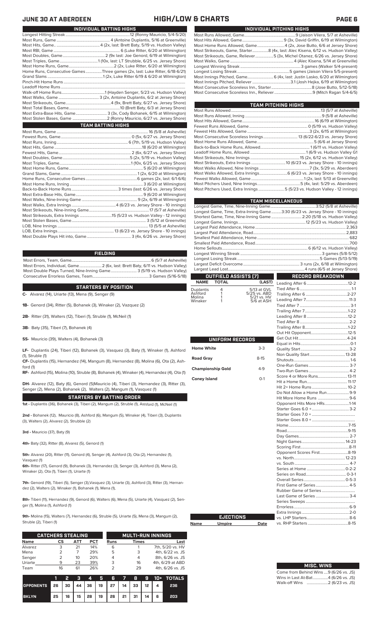# **JUNE 30 AT ABERDEEN HIGH/LOW & CHARTS PAGE 6**

| INDIVIDUAL PITCHING HIGHS                                                       |
|---------------------------------------------------------------------------------|
|                                                                                 |
|                                                                                 |
| Most Home Runs Allowed, Game4 (2x, Jose Butto, 6/6 at Jersey Shore)             |
| Most Strikeouts, Game, Starter8 (4x, last: Alec Kisena, 6/12 vs. Hudson Valley) |
| Most Strikeouts, Game, Reliever5 (3x, Michel Otanez, 6/26 vs. Jersey Shore)     |
|                                                                                 |
|                                                                                 |
|                                                                                 |
| Most Innings Pitched, Game 6 (4x, last: Justin Lasko, 6/20 at Wilmington)       |
|                                                                                 |
|                                                                                 |
|                                                                                 |
|                                                                                 |

| <b>TEAM PITCHING HIGHS</b>                                                |  |
|---------------------------------------------------------------------------|--|
|                                                                           |  |
|                                                                           |  |
|                                                                           |  |
|                                                                           |  |
|                                                                           |  |
|                                                                           |  |
|                                                                           |  |
|                                                                           |  |
|                                                                           |  |
|                                                                           |  |
|                                                                           |  |
|                                                                           |  |
|                                                                           |  |
|                                                                           |  |
|                                                                           |  |
| Most Pitchers Used, Extra Innings 5 (5/23 vs. Hudson Valley - 12 innings) |  |
|                                                                           |  |

|                          |                      |                                 | <b>TEAM MISCELLANEOUS</b>                                                      |  |  |  |  |  |  |
|--------------------------|----------------------|---------------------------------|--------------------------------------------------------------------------------|--|--|--|--|--|--|
|                          |                      |                                 |                                                                                |  |  |  |  |  |  |
|                          |                      |                                 | Longest Game, Time, Extra-Inning Game3:30 (6/23 vs. Jersey Shore - 10 innings) |  |  |  |  |  |  |
|                          |                      |                                 | Shortest Game, Time, Nine-Inning Game  2:20 (5/18 vs. Hudson Valley)           |  |  |  |  |  |  |
|                          |                      |                                 |                                                                                |  |  |  |  |  |  |
|                          |                      |                                 |                                                                                |  |  |  |  |  |  |
|                          |                      |                                 |                                                                                |  |  |  |  |  |  |
|                          |                      |                                 |                                                                                |  |  |  |  |  |  |
|                          |                      |                                 |                                                                                |  |  |  |  |  |  |
|                          |                      |                                 |                                                                                |  |  |  |  |  |  |
|                          |                      |                                 |                                                                                |  |  |  |  |  |  |
|                          |                      |                                 |                                                                                |  |  |  |  |  |  |
|                          |                      |                                 |                                                                                |  |  |  |  |  |  |
|                          |                      |                                 |                                                                                |  |  |  |  |  |  |
|                          | OUTFIELD ASSISTS (7) |                                 | <b>RECORD BREAKDOWN</b>                                                        |  |  |  |  |  |  |
| <b>NAME</b>              | <b>TOTAL</b>         | (LAST)                          |                                                                                |  |  |  |  |  |  |
| Duplantis                | 4<br>1               | 5/13 at GVL                     |                                                                                |  |  |  |  |  |  |
| Ashford<br>Molina        | 1                    | 5/25 vs. ABD<br>$5/21$ vs. $HV$ |                                                                                |  |  |  |  |  |  |
| Winaker                  | 1                    | 5/6 at ASH                      |                                                                                |  |  |  |  |  |  |
|                          |                      |                                 |                                                                                |  |  |  |  |  |  |
|                          |                      |                                 |                                                                                |  |  |  |  |  |  |
|                          |                      |                                 |                                                                                |  |  |  |  |  |  |
|                          |                      |                                 |                                                                                |  |  |  |  |  |  |
|                          |                      |                                 |                                                                                |  |  |  |  |  |  |
|                          |                      |                                 |                                                                                |  |  |  |  |  |  |
|                          | UNIFORM RECORDS      |                                 |                                                                                |  |  |  |  |  |  |
| <b>Home White</b>        |                      | $3-3$                           |                                                                                |  |  |  |  |  |  |
|                          |                      |                                 |                                                                                |  |  |  |  |  |  |
| <b>Road Gray</b>         |                      | $8 - 15$                        |                                                                                |  |  |  |  |  |  |
|                          |                      |                                 |                                                                                |  |  |  |  |  |  |
| <b>Championship Gold</b> |                      | $4-9$                           |                                                                                |  |  |  |  |  |  |
|                          |                      |                                 | Score 4 or More Runs 13-11                                                     |  |  |  |  |  |  |
| <b>Coney Island</b>      |                      | $O-1$                           |                                                                                |  |  |  |  |  |  |
|                          |                      |                                 |                                                                                |  |  |  |  |  |  |
|                          |                      |                                 | Do Not Allow a Home Run9-9                                                     |  |  |  |  |  |  |
|                          |                      |                                 |                                                                                |  |  |  |  |  |  |
|                          |                      |                                 | Opponent Hits More HRs1-14                                                     |  |  |  |  |  |  |
|                          |                      |                                 |                                                                                |  |  |  |  |  |  |
|                          |                      |                                 |                                                                                |  |  |  |  |  |  |
|                          |                      |                                 |                                                                                |  |  |  |  |  |  |
|                          |                      |                                 |                                                                                |  |  |  |  |  |  |
|                          |                      |                                 |                                                                                |  |  |  |  |  |  |
|                          |                      |                                 |                                                                                |  |  |  |  |  |  |
|                          |                      |                                 |                                                                                |  |  |  |  |  |  |
|                          |                      |                                 |                                                                                |  |  |  |  |  |  |
|                          |                      |                                 | Opponent Scores First8-19                                                      |  |  |  |  |  |  |
|                          |                      |                                 |                                                                                |  |  |  |  |  |  |
|                          |                      |                                 |                                                                                |  |  |  |  |  |  |
|                          |                      |                                 |                                                                                |  |  |  |  |  |  |
|                          |                      |                                 |                                                                                |  |  |  |  |  |  |
|                          |                      |                                 |                                                                                |  |  |  |  |  |  |
|                          |                      |                                 |                                                                                |  |  |  |  |  |  |
|                          |                      |                                 | Last Game of Series  3-4                                                       |  |  |  |  |  |  |
|                          |                      |                                 |                                                                                |  |  |  |  |  |  |
|                          |                      |                                 |                                                                                |  |  |  |  |  |  |
|                          |                      |                                 |                                                                                |  |  |  |  |  |  |
|                          | <b>EJECTIONS</b>     |                                 |                                                                                |  |  |  |  |  |  |
| Name                     | <b>Umpire</b>        | Date                            |                                                                                |  |  |  |  |  |  |

| <b>MISC. WINS</b>                      |
|----------------------------------------|
| Come from Behind Wins  9 (6/26 vs. JS) |
| Wins in Last At-Bat4 (6/26 vs. JS)     |
|                                        |
|                                        |

| INDIVIDUAL BATTING HIGHS  |                                                                             |  |  |  |  |  |  |
|---------------------------|-----------------------------------------------------------------------------|--|--|--|--|--|--|
|                           |                                                                             |  |  |  |  |  |  |
|                           |                                                                             |  |  |  |  |  |  |
|                           |                                                                             |  |  |  |  |  |  |
|                           |                                                                             |  |  |  |  |  |  |
|                           |                                                                             |  |  |  |  |  |  |
|                           |                                                                             |  |  |  |  |  |  |
|                           |                                                                             |  |  |  |  |  |  |
|                           | Home Runs, Consecutive Games Three games (2x, last: Luke Ritter, 6/18-6/21) |  |  |  |  |  |  |
|                           |                                                                             |  |  |  |  |  |  |
|                           |                                                                             |  |  |  |  |  |  |
|                           |                                                                             |  |  |  |  |  |  |
|                           |                                                                             |  |  |  |  |  |  |
|                           |                                                                             |  |  |  |  |  |  |
|                           |                                                                             |  |  |  |  |  |  |
|                           |                                                                             |  |  |  |  |  |  |
|                           | Most Extra-Base Hits, Game 3 (3x, Cody Bohanek, 6/15 at Wilmington)         |  |  |  |  |  |  |
|                           |                                                                             |  |  |  |  |  |  |
| <b>TEAM BATTING HIGHS</b> |                                                                             |  |  |  |  |  |  |
|                           |                                                                             |  |  |  |  |  |  |
|                           |                                                                             |  |  |  |  |  |  |
|                           |                                                                             |  |  |  |  |  |  |
|                           |                                                                             |  |  |  |  |  |  |
|                           |                                                                             |  |  |  |  |  |  |
|                           |                                                                             |  |  |  |  |  |  |
|                           |                                                                             |  |  |  |  |  |  |
|                           |                                                                             |  |  |  |  |  |  |
|                           |                                                                             |  |  |  |  |  |  |
|                           |                                                                             |  |  |  |  |  |  |
|                           |                                                                             |  |  |  |  |  |  |
|                           |                                                                             |  |  |  |  |  |  |
|                           |                                                                             |  |  |  |  |  |  |
|                           |                                                                             |  |  |  |  |  |  |
|                           |                                                                             |  |  |  |  |  |  |
|                           |                                                                             |  |  |  |  |  |  |
|                           |                                                                             |  |  |  |  |  |  |
|                           |                                                                             |  |  |  |  |  |  |
|                           |                                                                             |  |  |  |  |  |  |

## **FIELDING**

.. 13 (6/23 vs. Jersey Shore - 10 innings)<br>..................... 3 (4x, 6/26 vs. Jersey Shore)

Most Errors, Team, Game...............................................................................6 (5/7 at Asheville) .<br>2 (6x, last: Brett Baty, 6/11 vs. Hudson Valley)<br>3 (5/19 vs. Hudson Valley) Most Double Plays Turned, Nine-Inning Game.......................... 3 (5/19 vs. Hudson Valley) Consecutive Errorless Games, Team.

**STARTERS BY POSITION**

**C-** Alvarez (14), Uriarte (13), Mena (9), Senger (9)

**1B-** Genord (34), Ritter (5), Bohanek (3), Winaker (2), Vazquez (2)

**2B-** Ritter (31), Walters (12), Tiberi (1), Struble (1), McNeil (1)

**3B-** Baty (35), Tiberi (7), Bohanek (4)

Most Double Plays Hit into, Game............................................ 3 (4x, 6/26 vs. Jersey Shore)

**SS-** Mauricio (39), Walters (4), Bohanek (3)

**LF-** Duplantis (24), Tiberi (12), Bohanek (3), Vasquez (3), Baty (1), Winaker (1), Ashford (1), Struble (1)

**CF-** Duplantis (15), Hernandez (14), Mangum (8), Hernandez (8), Molina (6), Ota (2), Ashford (1)

**RF-** Ashford (15), Molina (10), Struble (8), Bohanek (4), Winaker (4), Hernandez (4), Ota (1)

**DH-** Alvarez (12), Baty (6), Genord (5)Mauricio (4), Tiberi (3), Hernandez (3), Ritter (3), Senger (2), Mena (2), Bohanek (2), Walters (2), Mangum (1), Vasquez (1)

**STARTERS BY BATTING ORDER 1st -** Duplantis (36), Bohanek (3), Tiberi (2), Mangum (2), Struble (1), Ashford (1), McNeil (1)

**2nd -** Bohanek (12), Mauricio (8), Ashford (6), Mangum (5), Winaker (4), Tiberi (3), Duplantis (3), Walters (2), Alvarez (2), Strubble (2)

**3rd -** Mauricio (37), Baty (9)

**4th-** Baty (32), Ritter (8), Alvarez (5), Genord (1)

**5th-** Alvarez (20), Ritter (11), Genord (4), Senger (4), Ashford (3), Ota (2), Hernandez (1), Vasquez (1)

**6th-** Ritter (17), Genord (9), Bohanek (3), Hernandez (3), Senger (3), Ashford (3), Mena (2), Winaker (2), Ota (1), Tiberi (1), Uriarte (1)

**7th-** Genord (19), Tiberi (5), Senger (3),Vasquez (3), Uriarte (3), Ashford (3), Ritter (3), Hernandez (2), Walters (2), Winaker (1), Bohanek (1), Mena (1),

**8th-** Tiberi (11), Hernandez (9), Genord (6), Walters (6), Mena (5), Uriarte (4), Vasquez (2), Senger (1), Molina (1), Ashford (1)

**9th-** Molina (15), Walters (7), Hernandez (6), Struble (5), Uriarte (5), Mena (3), Mangum (2), Struble (2), Tiberi (1)

**Name** 

|             | <b>CATCHERS STEALING</b> |     |            |             | <b>MULTI-RUN INNINGS</b> |                  |  |  |  |
|-------------|--------------------------|-----|------------|-------------|--------------------------|------------------|--|--|--|
| <b>Name</b> | CS                       | ATT | <b>PCT</b> | <b>Runs</b> | <b>Times</b>             | Last             |  |  |  |
| Alvarez     | 3                        | 21  | 14%        | 6           |                          | 7th, 5/20 vs. HV |  |  |  |
| Mena        |                          |     | 29%        | 5           | 3                        | 4th, 6/22 vs. JS |  |  |  |
| Senger      |                          | 10  | 20%        |             | 4                        | 8th, 6/26 vs. JS |  |  |  |
| Uriarte     | 9                        | 23  | 39%        | 3           | 16                       | 4th, 6/29 at ABD |  |  |  |
| Team        | 16                       | 61  | 26%        |             | 29                       | 4th, 6/26 vs. JS |  |  |  |

|                  |    | 2  | - 3  | <b>A</b> | 5 G                                  | 57 B |    |   | <b>9 10+ TOTALS</b> |
|------------------|----|----|------|----------|--------------------------------------|------|----|---|---------------------|
| <b>OPPONENTS</b> | 26 | 30 |      |          | 44   36   19   27   14   33   12   4 |      |    |   | 236                 |
| <b>BKLYN</b>     | 25 | 16 | 15 I | 28       | $19 \mid 26 \mid 21 \mid 31$         |      | 14 | 6 | 203                 |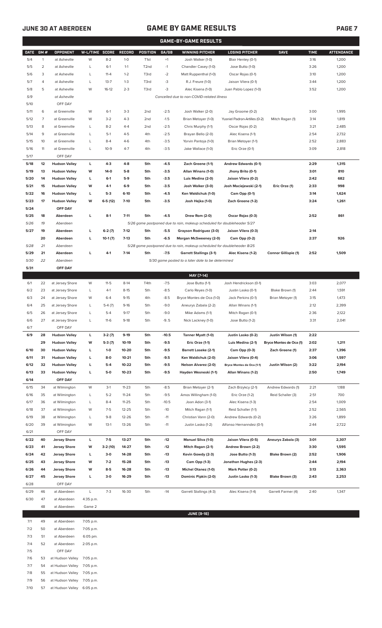# **JUNE 30 AT ABERDEEN GAME BY GAME RESULTS**

| <b>GAME-BY-GAME RESULTS</b> |                     |                                                            |                |                     |                        |                                    |                   |                                                                                           |                                         |                         |              |                   |
|-----------------------------|---------------------|------------------------------------------------------------|----------------|---------------------|------------------------|------------------------------------|-------------------|-------------------------------------------------------------------------------------------|-----------------------------------------|-------------------------|--------------|-------------------|
| <b>DATE</b>                 | GM#                 | <b>OPPONENT</b>                                            | W-L/TIME SCORE |                     | <b>RECORD</b>          | POSITION                           | GA/GB             | <b>WINNING PITCHER</b>                                                                    | <b>LOSING PITCHER</b>                   | <b>SAVE</b>             | <b>TIME</b>  | <b>ATTENDANCE</b> |
| 5/4                         | 1                   | at Asheville                                               | W              | $8 - 2$             | $1 - 0$                | T <sub>1st</sub>                   | $+1$              | Josh Walker (1-0)                                                                         | Blair Henley (0-1)                      |                         | 3:16         | 1,200             |
| 5/5                         | $\overline{2}$      | at Asheville                                               | L              | $6-1$               | $1 - 1$                | T <sub>2</sub> nd                  | $-1$              | Chandler Casey (1-0)                                                                      | Jose Butto (1-0)                        |                         | 3:26         | 1,200             |
| 5/6                         | 3                   | at Asheville                                               | L              | $11 - 4$            | $1 - 2$                | T3rd                               | $-2$              | Matt Ruppenthal (1-0)                                                                     | Oscar Rojas (0-1)                       |                         | 3:10         | 1,200             |
| 5/7                         | 4                   | at Asheville                                               | Г              | $13 - 7$            | $1 - 3$                | T3rd                               | $-3$              | R.J. Freure (1-0)                                                                         | Jaison Vilera (0-1)                     |                         | 3:44         | 1,200             |
| 5/8                         | 5                   | at Asheville                                               | W              | $16-12$             | $2 - 3$                | T3rd                               | $-3$              | Alec Kisena (1-0)                                                                         | Juan Pablo Lopez (1-0)                  |                         | 3:52         | 1,200             |
| 5/9                         |                     | at Asheville<br>Cancelled due to non-COVID-related illness |                |                     |                        |                                    |                   |                                                                                           |                                         |                         |              |                   |
| 5/10                        |                     | OFF DAY                                                    |                |                     |                        |                                    |                   |                                                                                           |                                         |                         |              |                   |
| 5/11                        | 6                   | at Greenville                                              | W              | $6-1$               | $3-3$                  | 2 <sub>nd</sub>                    | $-2.5$            | Josh Walker (2-0)                                                                         | Jay Groome (0-2)                        |                         | 3:00         | 1,995             |
| 5/12<br>5/13                | $\overline{7}$<br>8 | at Greenville<br>at Greenville                             | W<br>L         | $3 - 2$<br>$8 - 2$  | $4 - 3$<br>$4 - 4$     | 2 <sub>nd</sub><br>2 <sub>nd</sub> | $-1.5$<br>$-2.5$  | Brian Metoyer (1-0)                                                                       | Yusniel Padron-Artilles (0-2)           | Mitch Ragan (1)         | 3:14<br>3:21 | 1,819<br>2,485    |
| 5/14                        | 9                   | at Greenville                                              | L              | $5-1$               | $4 - 5$                | 4th                                | $-2.5$            | Chris Murphy (1-1)<br>Brayan Bello (2-0)                                                  | Oscar Rojas (0-2)<br>Alec Kisena (1-1)  |                         | 2:54         | 2,732             |
| 5/15                        | 10                  | at Greenville                                              | L              | $8 - 4$             | $4-6$                  | 4th                                | $-3.5$            | Yorvin Pantoja (1-0)                                                                      | Brian Metoyer (1-1)                     |                         | 2:52         | 2,883             |
| 5/16                        | 11                  | at Greenville                                              | L              | $10-9$              | $4 - 7$                | 4th                                | $-3.5$            | Jake Wallace (1-0)                                                                        | Eric Orze (0-1)                         |                         | 3:09         | 2,818             |
| 5/17                        |                     | OFF DAY                                                    |                |                     |                        |                                    |                   |                                                                                           |                                         |                         |              |                   |
| 5/18                        | 12                  | <b>Hudson Valley</b>                                       | L              | $4-3$               | $4 - 8$                | 5th                                | $-4.5$            | Zach Greene (1-1)                                                                         | Andrew Edwards (0-1)                    |                         | 2:29         | 1,315             |
| 5/19                        | 13                  | <b>Hudson Valley</b>                                       | W              | $14-0$              | $5-8$                  | 5th                                | $-3.5$            | Allan Winans (1-0)                                                                        | Jhony Brito (0-1)                       |                         | 3:01         | 810               |
| 5/20                        | 14                  | <b>Hudson Valley</b>                                       | L              | $6-1$               | $5-9$                  | 5th                                | $-3.5$            | Luis Medina (2-0)                                                                         | Jaison Vilera (0-2)                     |                         | 2:42         | 682               |
| 5/21                        | 15                  | <b>Hudson Valley</b>                                       | W              | $4-1$               | $6-9$                  | 5th                                | $-3.5$            | Josh Walker (3-0)                                                                         | Josh Maciejewski (2-1)                  | Eric Orze (1)           | 2:33         | 998               |
| 5/22                        | 16                  | <b>Hudson Valley</b>                                       | L              | $5-3$               | $6-10$                 | 5th                                | $-4.5$            | Ken Waldichuk (1-0)                                                                       | Cam Opp (0-1)                           |                         | 3:14         | 1,624             |
| 5/23                        | 17                  | <b>Hudson Valley</b>                                       | W              | $6-5(12)$           | $7 - 10$               | 5th                                | $-3.5$            | Josh Hejka (1-0)                                                                          | Zach Greene (1-2)                       |                         | 3:24         | 1,261             |
| 5/24                        |                     | OFF DAY                                                    |                |                     |                        |                                    |                   |                                                                                           |                                         |                         |              |                   |
| 5/25<br>5/26                | 18<br>19            | Aberdeen<br>Aberdeen                                       | L              | $8-1$               | $7 - 11$               | 5th                                | $-4.5$            | Drew Rom (2-0)<br>5/26 game postponed due to rain, makeup scheduled for doubleheader 5/27 | Oscar Rojas (0-3)                       |                         | 2:52         | 861               |
| 5/27                        | 19                  | Aberdeen                                                   | г              | $6-2(7)$            | $7-12$                 | 5th                                | $-5.5$            | Grayson Rodriguez (3-0)                                                                   | Jaison Vilera (0-3)                     |                         | 2:14         |                   |
|                             | 20                  | Aberdeen                                                   | L              | $10-1(7)$           | $7-13$                 | 5th                                | $-6.5$            | Morgan McSweeney (2-0)                                                                    | Cam Opp (0-2)                           |                         | 2:37         | 926               |
| 5/28                        | 21                  | Aberdeen                                                   |                |                     |                        |                                    |                   | 5/28 game postponed due to rain, makeup scheduled for doubleheader 8/25                   |                                         |                         |              |                   |
| 5/29                        | 21                  | Aberdeen                                                   | г              | $4-1$               | $7-14$                 | 5th                                | $-7.5$            | <b>Garrett Stallings (3-1)</b>                                                            | Alec Kisena (1-2)                       | Connor Gillispie (1)    | 2:52         | 1,509             |
| 5/30                        | 22                  | Aberdeen                                                   |                |                     |                        |                                    |                   | 5/30 game posted to a later date to be determined                                         |                                         |                         |              |                   |
| 5/31                        |                     | OFF DAY                                                    |                |                     |                        |                                    |                   |                                                                                           |                                         |                         |              |                   |
|                             |                     |                                                            |                |                     |                        |                                    |                   | MAY [7-14]                                                                                |                                         |                         |              |                   |
| 6/1                         | 22                  | at Jersey Shore                                            | W              | $11 - 5$            | $8-14$                 | T4th                               | $-7.5$            | Jose Butto (1-1)                                                                          | Josh Hendrickson (0-1)                  |                         | 3:03         | 2,077             |
| 6/2                         | 23                  | at Jersey Shore                                            | L              | $4-1$               | $8 - 15$               | 5th                                | $-8.5$            | Carlo Reyes (1-0)                                                                         | Justin Lasko (0-1)                      | Blake Brown (1)         | 2:44         | 1,591             |
| 6/3                         | 24                  | at Jersey Shore                                            | W              | $6 - 4$             | $9-15$                 | 4th                                | $-8.5$            | Bryce Montes de Oca (1-0)                                                                 | Jack Perkins (0-1)                      | Brian Metoyer (1)       | 3:15         | 1,473             |
| 6/4<br>6/5                  | 25<br>26            | at Jersey Shore<br>at Jersey Shore                         | L<br>L         | $5-4(7)$<br>$5 - 4$ | $9-16$<br>$9 - 17$     | 5th<br>5th                         | $-9.0$<br>$-9.0$  | Aneurys Zabala (2-2)<br>Mike Adams (1-1)                                                  | Allan Winans (1-1)<br>Mitch Ragan (0-1) |                         | 2:12<br>2:36 | 2,399<br>2,122    |
| 6/6                         | 27                  | at Jersey Shore                                            | L              | $11-6$              | $9-18$                 | 5th                                | $-9.5$            | Nick Lackney (1-0)                                                                        | Jose Butto (1-2)                        |                         | 3:31         | 2,041             |
| 6/7                         |                     | OFF DAY                                                    |                |                     |                        |                                    |                   |                                                                                           |                                         |                         |              |                   |
| 6/9                         | 28                  | <b>Hudson Valley</b>                                       | L              | $3-2(7)$            | $9-19$                 | 5th                                | $-10.5$           | Tanner Myatt (1-0)                                                                        | Justin Lasko (0-2)                      | Justin Wilson (1)       | 2:22         |                   |
|                             | 29                  | <b>Hudson Valley</b>                                       | W              | $5-3(7)$            | $10-19$                | 5th                                | $-9.5$            | Eric Orze (1-1)                                                                           | Luis Medina (2-1)                       | Bryce Montes de Oca (1) | 2:02         | 1,211             |
| 6/10                        | 30                  | <b>Hudson Valley</b>                                       | L              | $1 - 0$             | 10-20                  | 5th                                | $-9.5$            | <b>Barrett Loseke (2-1)</b>                                                               | Cam Opp (0-3)                           | Zach Greene (1)         | 2:37         | 1,396             |
| 6/11                        | 31                  | <b>Hudson Valley</b>                                       | г              | 8-0                 | $10 - 21$              | 5th                                | $-9.5$            | Ken Waldichuk (2-0)                                                                       | Jaison Vilera (0-4)                     |                         | 3:06         | 1,597             |
| 6/12                        | 32                  | <b>Hudson Valley</b>                                       | г              | $5-4$               | 10-22                  | 5th                                | $-9.5$            | Nelson Alvarez (2-0)                                                                      | Bryce Montes de Oca (1-1)               | Justin Wilson (2)       | 3:22         | 2,194             |
| 6/13                        | 33                  | <b>Hudson Valley</b>                                       | г              | 5-0                 | $10 - 23$              | 5th                                | $-9.5$            | Hayden Wesneski (1-1)                                                                     | Allan Winans (1-2)                      |                         | 2:50         | 1,749             |
| 6/14                        |                     | OFF DAY                                                    |                |                     |                        |                                    |                   |                                                                                           |                                         |                         |              |                   |
| 6/15                        | 34                  | at Wilmington                                              | W              | $3-1$               | $11 - 23$              | 5th                                | $-8.5$            | Brian Metoyer (2-1)                                                                       | Zach Brzykcy (2-1)                      | Andrew Edwards (1)      | 2:21         | 1,188<br>700      |
| 6/16<br>6/17                | 35<br>36            | at Wilmington<br>at Wilmington                             | L<br>L         | $5 - 2$<br>$8 - 4$  | $11 - 24$<br>$11 - 25$ | 5th<br>5th                         | $-9.5$<br>$-10.5$ | Amos Willingham (1-0)<br>Joan Adon (3-1)                                                  | Eric Orze (1-2)<br>Alec Kisena (1-3)    | Reid Schaller (3)       | 2:51<br>2:54 | 1,009             |
| 6/18                        | 37                  | at Wilmington                                              | W              | $7-5$               | $12 - 25$              | 5th                                | $-10$             | Mitch Ragan (1-1)                                                                         | Reid Schaller (1-1)                     |                         | 2:52         | 2,565             |
| 6/19                        | 38                  | at Wilmington                                              | L              | $9 - 8$             | 12-26                  | 5th                                | $-11$             | Christian Vann (2-0)                                                                      | Andrew Edwards (0-2)                    |                         | 3:26         | 1,899             |
| 6/20                        | 39                  | at Wilmington                                              | W              | $13-1$              | 13-26                  | 5th                                | $-11$             | Justin Lasko (1-2)                                                                        | Alfonso Hernanndez (0-1)                |                         | 2:44         | 2,722             |
| 6/21                        |                     | OFF DAY                                                    |                |                     |                        |                                    |                   |                                                                                           |                                         |                         |              |                   |
| 6/22                        | 40                  | <b>Jersey Shore</b>                                        | L              | $7 - 5$             | 13-27                  | 5th                                | $-12$             | Manuel Silva (1-0)                                                                        | Jaison Vilera (0-5)                     | Aneurys Zabala (3)      | 3:01         | 2,307             |
| 6/23                        | 41                  | <b>Jersey Shore</b>                                        | W              | 3-2 (10)            | 14-27                  | 5th                                | $-12$             | Mitch Ragan (2-1)                                                                         | Andrew Brown (2-2)                      |                         | 3:30         | 1,595             |
| 6/24                        | 42                  | <b>Jersey Shore</b>                                        | L              | $3-0$               | 14-28                  | 5th                                | $-13$             | Kevin Gowdy (2-3)                                                                         | Jose Butto (1-3)                        | Blake Brown (2)         | 2:52         | 1,906             |
| 6/25                        | 43                  | <b>Jersey Shore</b>                                        | W              | $7-2$               | 15-28                  | 5th                                | $-13$             | Cam Opp (1-3)                                                                             | Jonathan Hughes (2-3)                   |                         | 2:44         | 2,194             |
| 6/26                        | 44                  | <b>Jersey Shore</b>                                        | W              | $8 - 5$             | 16-28                  | 5th                                | $-13$             | Michel Otanez (1-0)                                                                       | Mark Potter (0-2)                       |                         | 3:13         | 2,363             |
| 6/27<br>6/28                | 45                  | <b>Jersey Shore</b><br>OFF DAY                             | L              | $3-0$               | 16-29                  | 5th                                | $-13$             | Dominic Pipkin (2-0)                                                                      | Justin Lasko (1-3)                      | Blake Brown (3)         | 2:43         | 2,253             |
| 6/29                        | 46                  | at Aberdeen                                                | L              | $7 - 3$             | 16-30                  | 5th                                | $-14$             | Garrett Stallings (4-3)                                                                   | Alec Kisena (1-4)                       | Garrett Farmer (4)      | 2:40         | 1,347             |
| 6/30                        | 47                  | at Aberdeen                                                | 4:35 p.m.      |                     |                        |                                    |                   |                                                                                           |                                         |                         |              |                   |
|                             | 48                  | at Aberdeen                                                | Game 2         |                     |                        |                                    |                   |                                                                                           |                                         |                         |              |                   |
|                             |                     |                                                            |                |                     |                        |                                    |                   | <b>JUNE [9-16]</b>                                                                        |                                         |                         |              |                   |
| 7/1                         | 49                  | at Aberdeen                                                | 7:05 p.m.      |                     |                        |                                    |                   |                                                                                           |                                         |                         |              |                   |
| 7/2                         | 50                  | at Aberdeen                                                | 7:05 p.m.      |                     |                        |                                    |                   |                                                                                           |                                         |                         |              |                   |
| 7/3                         | 51                  | at Aberdeen                                                | 6:05 pm.       |                     |                        |                                    |                   |                                                                                           |                                         |                         |              |                   |
| 7/4                         | 52                  | at Aberdeen                                                | 2:05 p.m.      |                     |                        |                                    |                   |                                                                                           |                                         |                         |              |                   |
| 7/5                         |                     | OFF DAY                                                    |                |                     |                        |                                    |                   |                                                                                           |                                         |                         |              |                   |

7/6 53 at Hudson Valley 7:05 p.m. 7/7 54 at Hudson Valley 7:05 p.m. 7/8 55 at Hudson Valley 7:05 p.m.

7/9 56 at Hudson Valley 7:05 p.m.

7/10 57 at Hudson Valley 6:05 p.m.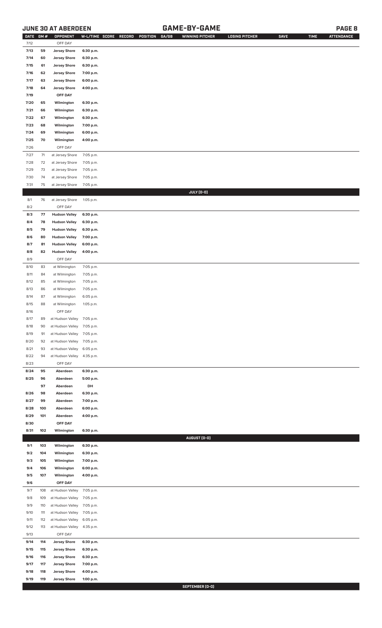# **JUNE 30 AT ABERDEEN GAME-BY-GAME PAGE 8**

| <b>DATE</b> | GM# | OPPONENT                   | W-L/TIME SCORE | RECORD<br>POSITION | GA/GB | <b>WINNING PITCHER</b> | <b>LOSING PITCHER</b> | SAVE | <b>TIME</b> | <b>ATTENDANCE</b> |
|-------------|-----|----------------------------|----------------|--------------------|-------|------------------------|-----------------------|------|-------------|-------------------|
| 7/12        |     | OFF DAY                    |                |                    |       |                        |                       |      |             |                   |
| 7/13        | 59  | <b>Jersey Shore</b>        | 6:30 p.m.      |                    |       |                        |                       |      |             |                   |
| 7/14        | 60  | <b>Jersey Shore</b>        | 6:30 p.m.      |                    |       |                        |                       |      |             |                   |
| 7/15        | 61  | <b>Jersey Shore</b>        | 6:30 p.m.      |                    |       |                        |                       |      |             |                   |
|             |     |                            |                |                    |       |                        |                       |      |             |                   |
| 7/16        | 62  | <b>Jersey Shore</b>        | 7:00 p.m.      |                    |       |                        |                       |      |             |                   |
| 7/17        | 63  | <b>Jersey Shore</b>        | 6:00 p.m.      |                    |       |                        |                       |      |             |                   |
| 7/18        | 64  | <b>Jersey Shore</b>        | 4:00 p.m.      |                    |       |                        |                       |      |             |                   |
| 7/19        |     | OFF DAY                    |                |                    |       |                        |                       |      |             |                   |
| 7/20        | 65  | Wilmington                 | 6:30 p.m.      |                    |       |                        |                       |      |             |                   |
| 7/21        | 66  | Wilmington                 | 6:30 p.m.      |                    |       |                        |                       |      |             |                   |
| 7/22        | 67  | Wilmington                 | 6:30 p.m.      |                    |       |                        |                       |      |             |                   |
| 7/23        | 68  | Wilmington                 | 7:00 p.m.      |                    |       |                        |                       |      |             |                   |
| 7/24        | 69  | Wilmington                 | 6:00 p.m.      |                    |       |                        |                       |      |             |                   |
|             |     |                            |                |                    |       |                        |                       |      |             |                   |
| 7/25        | 70  | Wilmington                 | 4:00 p.m.      |                    |       |                        |                       |      |             |                   |
| 7/26        |     | OFF DAY                    |                |                    |       |                        |                       |      |             |                   |
| 7/27        | 71  | at Jersey Shore            | 7:05 p.m.      |                    |       |                        |                       |      |             |                   |
| 7/28        | 72  | at Jersey Shore            | 7:05 p.m.      |                    |       |                        |                       |      |             |                   |
| 7/29        | 73  | at Jersey Shore            | 7:05 p.m.      |                    |       |                        |                       |      |             |                   |
| 7/30        | 74  | at Jersey Shore            | 7:05 p.m.      |                    |       |                        |                       |      |             |                   |
| 7/31        | 75  | at Jersey Shore            | 7:05 p.m.      |                    |       |                        |                       |      |             |                   |
|             |     |                            |                |                    |       | JULY (0-0)             |                       |      |             |                   |
| 8/1         | 76  | at Jersey Shore            | 1:05 p.m.      |                    |       |                        |                       |      |             |                   |
|             |     |                            |                |                    |       |                        |                       |      |             |                   |
| 8/2         |     | OFF DAY                    |                |                    |       |                        |                       |      |             |                   |
| 8/3         | 77  | <b>Hudson Valley</b>       | 6:30 p.m.      |                    |       |                        |                       |      |             |                   |
| 8/4         | 78  | <b>Hudson Valley</b>       | 6:30 p.m.      |                    |       |                        |                       |      |             |                   |
| 8/5         | 79  | <b>Hudson Valley</b>       | 6:30 p.m.      |                    |       |                        |                       |      |             |                   |
| 8/6         | 80  | <b>Hudson Valley</b>       | 7:00 p.m.      |                    |       |                        |                       |      |             |                   |
| 8/7         | 81  | <b>Hudson Valley</b>       | 6:00 p.m.      |                    |       |                        |                       |      |             |                   |
| 8/8         | 82  | <b>Hudson Valley</b>       | 4:00 p.m.      |                    |       |                        |                       |      |             |                   |
| 8/9         |     | OFF DAY                    |                |                    |       |                        |                       |      |             |                   |
| 8/10        | 83  | at Wilmington              | 7:05 p.m.      |                    |       |                        |                       |      |             |                   |
|             |     | at Wilmington              |                |                    |       |                        |                       |      |             |                   |
| 8/11        | 84  |                            | 7:05 p.m.      |                    |       |                        |                       |      |             |                   |
| 8/12        | 85  | at Wilmington              | 7:05 p.m.      |                    |       |                        |                       |      |             |                   |
| 8/13        | 86  | at Wilmington              | 7:05 p.m.      |                    |       |                        |                       |      |             |                   |
| 8/14        | 87  | at Wilmington              | 6:05 p.m.      |                    |       |                        |                       |      |             |                   |
| 8/15        | 88  | at Wilmington              | 1:05 p.m.      |                    |       |                        |                       |      |             |                   |
| 8/16        |     | OFF DAY                    |                |                    |       |                        |                       |      |             |                   |
| 8/17        | 89  | at Hudson Valley 7:05 p.m. |                |                    |       |                        |                       |      |             |                   |
| 8/18        | 90  | at Hudson Valley           | 7:05 p.m.      |                    |       |                        |                       |      |             |                   |
| 8/19        | 91  | at Hudson Valley           | 7:05 p.m.      |                    |       |                        |                       |      |             |                   |
|             |     |                            |                |                    |       |                        |                       |      |             |                   |
| 8/20        | 92  | at Hudson Valley           | 7:05 p.m.      |                    |       |                        |                       |      |             |                   |
| 8/21        | 93  | at Hudson Valley           | 6:05 p.m.      |                    |       |                        |                       |      |             |                   |
| 8/22        | 94  | at Hudson Valley           | 4:35 p.m.      |                    |       |                        |                       |      |             |                   |
| 8/23        |     | OFF DAY                    |                |                    |       |                        |                       |      |             |                   |
| 8/24        | 95  | Aberdeen                   | 6:30 p.m.      |                    |       |                        |                       |      |             |                   |
| 8/25        | 96  | Aberdeen                   | 5:00 p.m.      |                    |       |                        |                       |      |             |                   |
|             | 97  | Aberdeen                   | DH             |                    |       |                        |                       |      |             |                   |
| 8/26        | 98  | Aberdeen                   | 6:30 p.m.      |                    |       |                        |                       |      |             |                   |
| 8/27        | 99  | Aberdeen                   | 7:00 p.m.      |                    |       |                        |                       |      |             |                   |
| 8/28        | 100 | Aberdeen                   | 6:00 p.m.      |                    |       |                        |                       |      |             |                   |
|             |     |                            |                |                    |       |                        |                       |      |             |                   |
| 8/29        | 101 | Aberdeen                   | 4:00 p.m.      |                    |       |                        |                       |      |             |                   |
| 8/30        |     | OFF DAY                    |                |                    |       |                        |                       |      |             |                   |
| 8/31        | 102 | Wilmington                 | 6:30 p.m.      |                    |       |                        |                       |      |             |                   |
|             |     |                            |                |                    |       | AUGUST (0-0)           |                       |      |             |                   |
| 9/1         | 103 | Wilmington                 | 6:30 p.m.      |                    |       |                        |                       |      |             |                   |
| 9/2         | 104 | Wilmington                 | 6:30 p.m.      |                    |       |                        |                       |      |             |                   |
| 9/3         | 105 | Wilmington                 | 7:00 p.m.      |                    |       |                        |                       |      |             |                   |
| 9/4         | 106 | Wilmington                 | 6:00 p.m.      |                    |       |                        |                       |      |             |                   |
| 9/5         | 107 | Wilmington                 | 4:00 p.m.      |                    |       |                        |                       |      |             |                   |
| 9/6         |     | OFF DAY                    |                |                    |       |                        |                       |      |             |                   |
| 9/7         | 108 | at Hudson Valley           | 7:05 p.m.      |                    |       |                        |                       |      |             |                   |
|             |     |                            |                |                    |       |                        |                       |      |             |                   |
| 9/8         | 109 | at Hudson Valley           | 7:05 p.m.      |                    |       |                        |                       |      |             |                   |
| 9/9         | 110 | at Hudson Valley           | 7:05 p.m.      |                    |       |                        |                       |      |             |                   |
| 9/10        | 111 | at Hudson Valley           | 7:05 p.m.      |                    |       |                        |                       |      |             |                   |
| 9/11        | 112 | at Hudson Valley           | 6:05 p.m.      |                    |       |                        |                       |      |             |                   |
| 9/12        | 113 | at Hudson Valley           | 4:35 p.m.      |                    |       |                        |                       |      |             |                   |
| 9/13        |     | OFF DAY                    |                |                    |       |                        |                       |      |             |                   |
| 9/14        | 114 | <b>Jersey Shore</b>        | 6:30 p.m.      |                    |       |                        |                       |      |             |                   |
| 9/15        | 115 | <b>Jersey Shore</b>        | 6:30 p.m.      |                    |       |                        |                       |      |             |                   |
| 9/16        | 116 | <b>Jersey Shore</b>        | 6:30 p.m.      |                    |       |                        |                       |      |             |                   |
| 9/17        | 117 | <b>Jersey Shore</b>        | 7:00 p.m.      |                    |       |                        |                       |      |             |                   |
| 9/18        | 118 | <b>Jersey Shore</b>        | 4:00 p.m.      |                    |       |                        |                       |      |             |                   |
| 9/19        | 119 |                            |                |                    |       |                        |                       |      |             |                   |
|             |     | <b>Jersey Shore</b>        | 1:00 p.m.      |                    |       |                        |                       |      |             |                   |

**SEPTEMBER (0-0)**